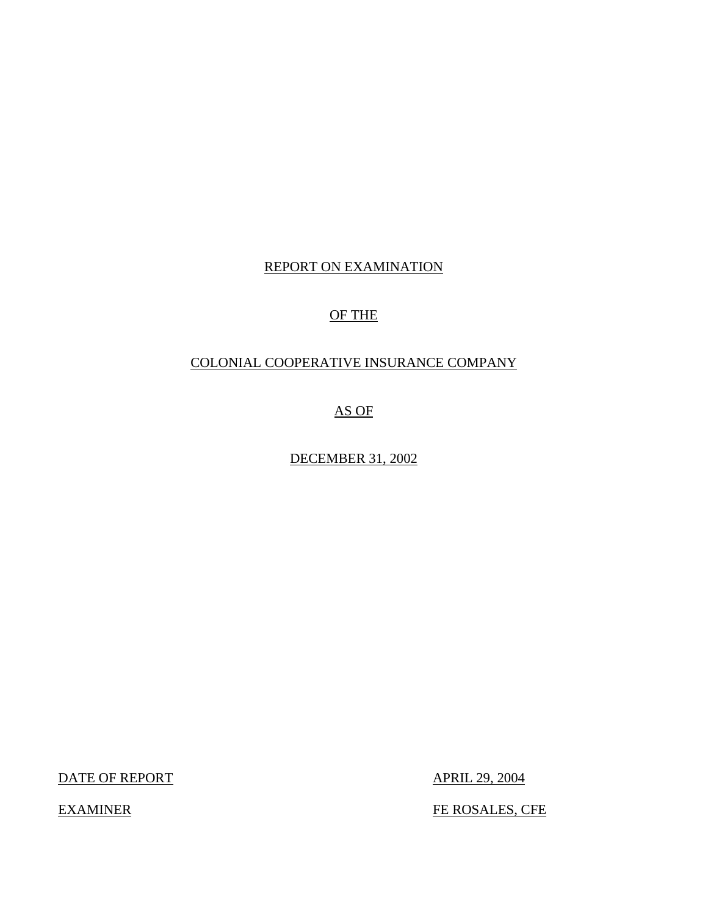# REPORT ON EXAMINATION

# OF THE

# COLONIAL COOPERATIVE INSURANCE COMPANY

AS OF

DECEMBER 31, 2002

DATE OF REPORT APRIL 29, 2004

EXAMINER FE ROSALES, CFE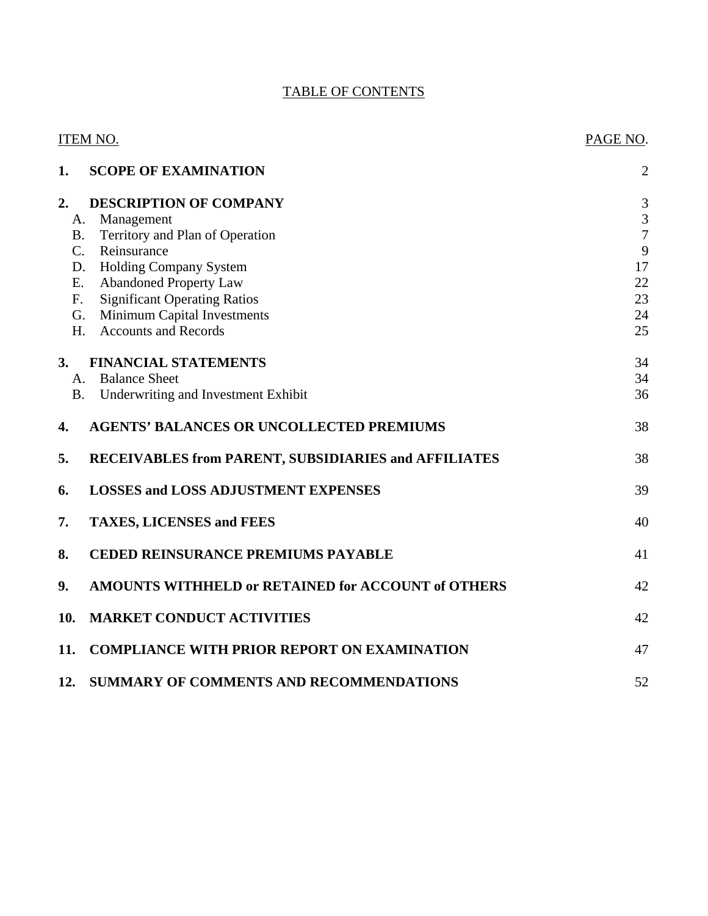# TABLE OF CONTENTS

| ITEM NO.                                                   | PAGE NO.       |
|------------------------------------------------------------|----------------|
| 1.<br><b>SCOPE OF EXAMINATION</b>                          | 2              |
| $\overline{2}$ .<br><b>DESCRIPTION OF COMPANY</b>          | $\mathfrak{Z}$ |
| Management<br>А.                                           | $\mathfrak{Z}$ |
| Territory and Plan of Operation<br><b>B.</b>               | $\overline{7}$ |
| $C_{\cdot}$<br>Reinsurance                                 | 9              |
| <b>Holding Company System</b><br>D.                        | 17             |
| <b>Abandoned Property Law</b><br>Ε.                        | 22             |
| <b>Significant Operating Ratios</b><br>F.                  | 23             |
| <b>Minimum Capital Investments</b><br>G.                   | 24             |
| <b>Accounts and Records</b><br>H.                          | 25             |
| 3.<br><b>FINANCIAL STATEMENTS</b>                          | 34             |
| <b>Balance Sheet</b><br>A.                                 | 34             |
| Underwriting and Investment Exhibit<br><b>B.</b>           | 36             |
| <b>AGENTS' BALANCES OR UNCOLLECTED PREMIUMS</b><br>4.      | 38             |
| 5.<br>RECEIVABLES from PARENT, SUBSIDIARIES and AFFILIATES | 38             |
| <b>LOSSES and LOSS ADJUSTMENT EXPENSES</b><br>6.           | 39             |
| 7.<br><b>TAXES, LICENSES and FEES</b>                      | 40             |
| 8.<br><b>CEDED REINSURANCE PREMIUMS PAYABLE</b>            | 41             |
| 9.<br>AMOUNTS WITHHELD or RETAINED for ACCOUNT of OTHERS   | 42             |
| <b>MARKET CONDUCT ACTIVITIES</b><br>10.                    | 42             |
| 11.<br><b>COMPLIANCE WITH PRIOR REPORT ON EXAMINATION</b>  | 47             |
| 12.<br><b>SUMMARY OF COMMENTS AND RECOMMENDATIONS</b>      | 52             |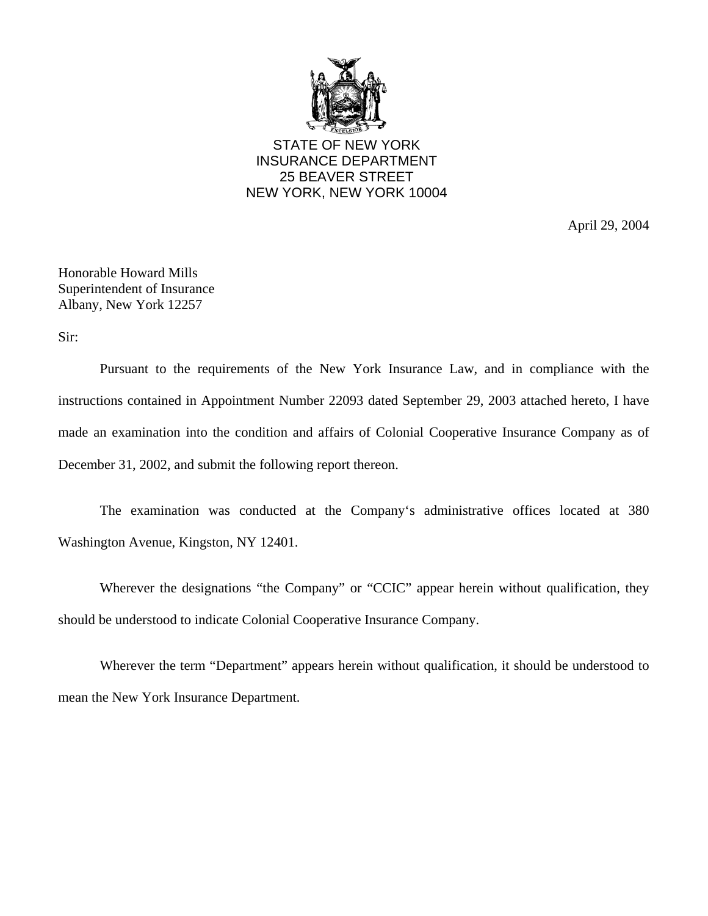

STATE OF NEW YORK INSURANCE DEPARTMENT 25 BEAVER STREET NEW YORK, NEW YORK 10004

April 29, 2004

Honorable Howard Mills Superintendent of Insurance Albany, New York 12257

Sir:

Pursuant to the requirements of the New York Insurance Law, and in compliance with the instructions contained in Appointment Number 22093 dated September 29, 2003 attached hereto, I have made an examination into the condition and affairs of Colonial Cooperative Insurance Company as of December 31, 2002, and submit the following report thereon.

The examination was conducted at the Company's administrative offices located at 380 Washington Avenue, Kingston, NY 12401.

Wherever the designations "the Company" or "CCIC" appear herein without qualification, they should be understood to indicate Colonial Cooperative Insurance Company.

Wherever the term "Department" appears herein without qualification, it should be understood to mean the New York Insurance Department.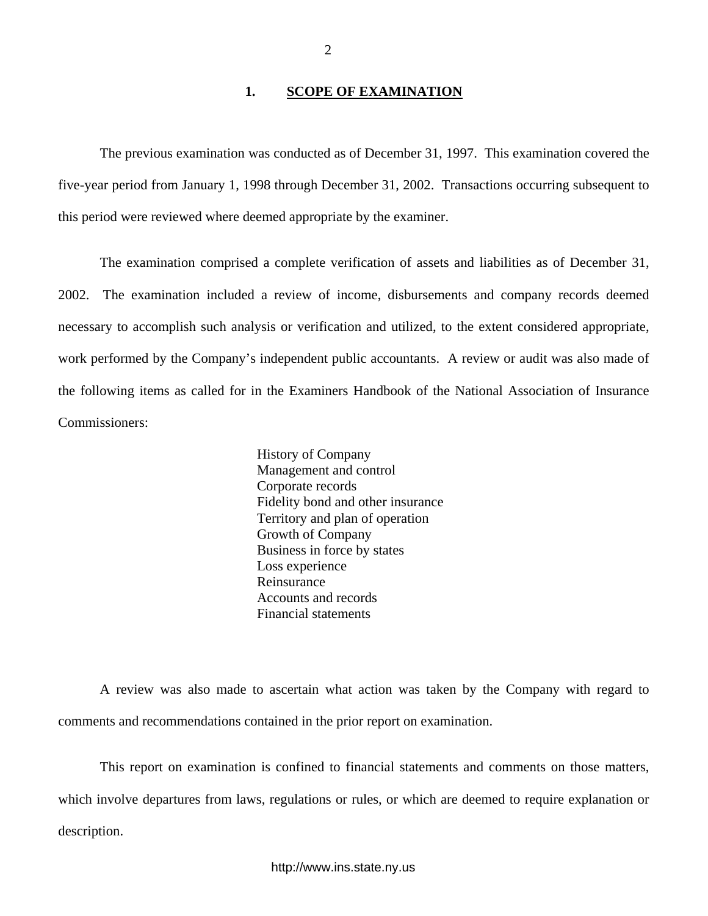## **1. SCOPE OF EXAMINATION**

<span id="page-3-0"></span>The previous examination was conducted as of December 31, 1997. This examination covered the five-year period from January 1, 1998 through December 31, 2002. Transactions occurring subsequent to this period were reviewed where deemed appropriate by the examiner.

The examination comprised a complete verification of assets and liabilities as of December 31, 2002. The examination included a review of income, disbursements and company records deemed necessary to accomplish such analysis or verification and utilized, to the extent considered appropriate, work performed by the Company's independent public accountants. A review or audit was also made of the following items as called for in the Examiners Handbook of the National Association of Insurance Commissioners:

> History of Company Management and control Corporate records Fidelity bond and other insurance Territory and plan of operation Growth of Company Business in force by states Loss experience Reinsurance Accounts and records Financial statements

A review was also made to ascertain what action was taken by the Company with regard to comments and recommendations contained in the prior report on examination.

This report on examination is confined to financial statements and comments on those matters, which involve departures from laws, regulations or rules, or which are deemed to require explanation or description.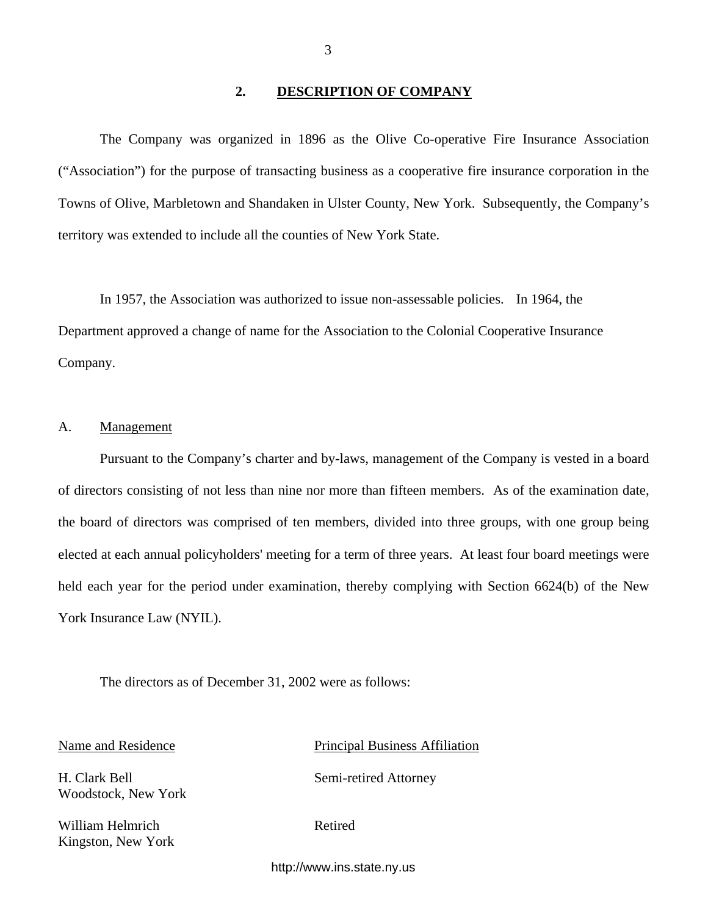#### **2. DESCRIPTION OF COMPANY**

<span id="page-4-0"></span>The Company was organized in 1896 as the Olive Co-operative Fire Insurance Association ("Association") for the purpose of transacting business as a cooperative fire insurance corporation in the Towns of Olive, Marbletown and Shandaken in Ulster County, New York. Subsequently, the Company's territory was extended to include all the counties of New York State.

In 1957, the Association was authorized to issue non-assessable policies. In 1964, the Department approved a change of name for the Association to the Colonial Cooperative Insurance Company.

# A. Management

Pursuant to the Company's charter and by-laws, management of the Company is vested in a board of directors consisting of not less than nine nor more than fifteen members. As of the examination date, the board of directors was comprised of ten members, divided into three groups, with one group being elected at each annual policyholders' meeting for a term of three years. At least four board meetings were held each year for the period under examination, thereby complying with Section 6624(b) of the New York Insurance Law (NYIL).

The directors as of December 31, 2002 were as follows:

Woodstock, New York

William Helmrich Retired Kingston, New York

Name and Residence Principal Business Affiliation

H. Clark Bell Semi-retired Attorney

<http://www.ins.state.ny.us>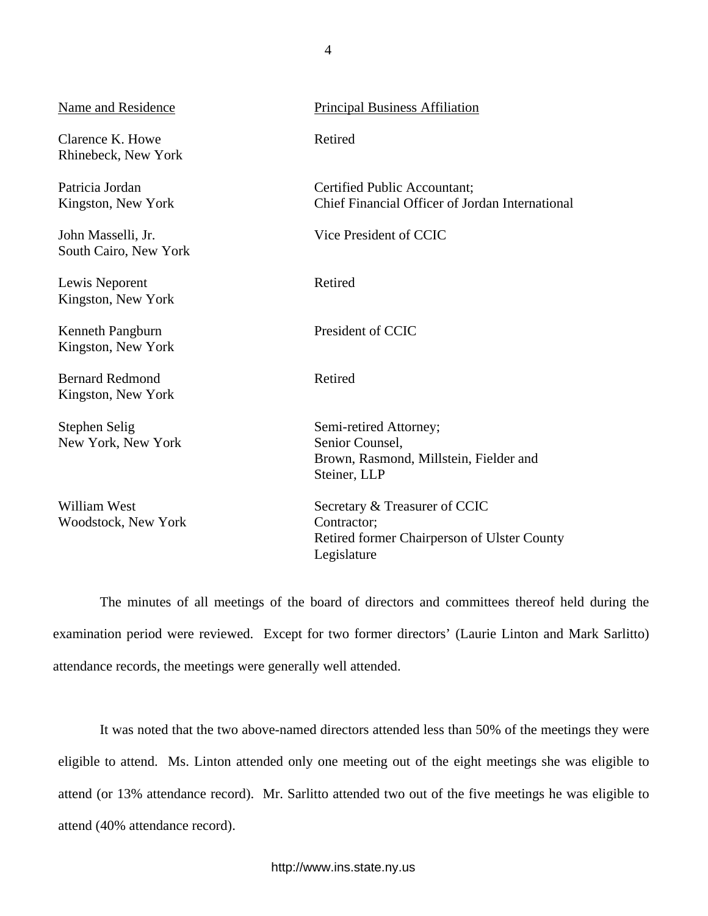| Name and Residence                           | <b>Principal Business Affiliation</b>                                                               |
|----------------------------------------------|-----------------------------------------------------------------------------------------------------|
| Clarence K. Howe<br>Rhinebeck, New York      | Retired                                                                                             |
| Patricia Jordan<br>Kingston, New York        | Certified Public Accountant;<br>Chief Financial Officer of Jordan International                     |
| John Masselli, Jr.<br>South Cairo, New York  | Vice President of CCIC                                                                              |
| Lewis Neporent<br>Kingston, New York         | Retired                                                                                             |
| Kenneth Pangburn<br>Kingston, New York       | President of CCIC                                                                                   |
| <b>Bernard Redmond</b><br>Kingston, New York | Retired                                                                                             |
| Stephen Selig<br>New York, New York          | Semi-retired Attorney;<br>Senior Counsel,<br>Brown, Rasmond, Millstein, Fielder and<br>Steiner, LLP |
| <b>William West</b><br>Woodstock, New York   | Secretary & Treasurer of CCIC<br>Contractor;<br>Retired former Chairperson of Ulster County         |

The minutes of all meetings of the board of directors and committees thereof held during the examination period were reviewed. Except for two former directors' (Laurie Linton and Mark Sarlitto) attendance records, the meetings were generally well attended.

Legislature

It was noted that the two above-named directors attended less than 50% of the meetings they were eligible to attend. Ms. Linton attended only one meeting out of the eight meetings she was eligible to attend (or 13% attendance record). Mr. Sarlitto attended two out of the five meetings he was eligible to attend (40% attendance record).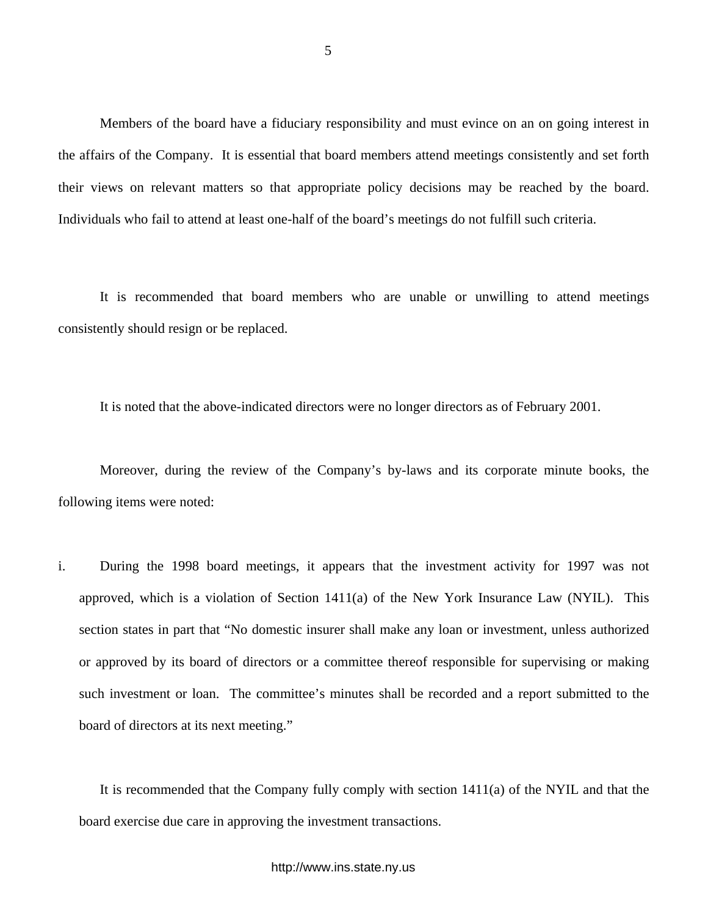Members of the board have a fiduciary responsibility and must evince on an on going interest in the affairs of the Company. It is essential that board members attend meetings consistently and set forth their views on relevant matters so that appropriate policy decisions may be reached by the board. Individuals who fail to attend at least one-half of the board's meetings do not fulfill such criteria.

It is recommended that board members who are unable or unwilling to attend meetings consistently should resign or be replaced.

It is noted that the above-indicated directors were no longer directors as of February 2001.

Moreover, during the review of the Company's by-laws and its corporate minute books, the following items were noted:

i. During the 1998 board meetings, it appears that the investment activity for 1997 was not approved, which is a violation of Section 1411(a) of the New York Insurance Law (NYIL). This section states in part that "No domestic insurer shall make any loan or investment, unless authorized or approved by its board of directors or a committee thereof responsible for supervising or making such investment or loan. The committee's minutes shall be recorded and a report submitted to the board of directors at its next meeting."

It is recommended that the Company fully comply with section 1411(a) of the NYIL and that the board exercise due care in approving the investment transactions.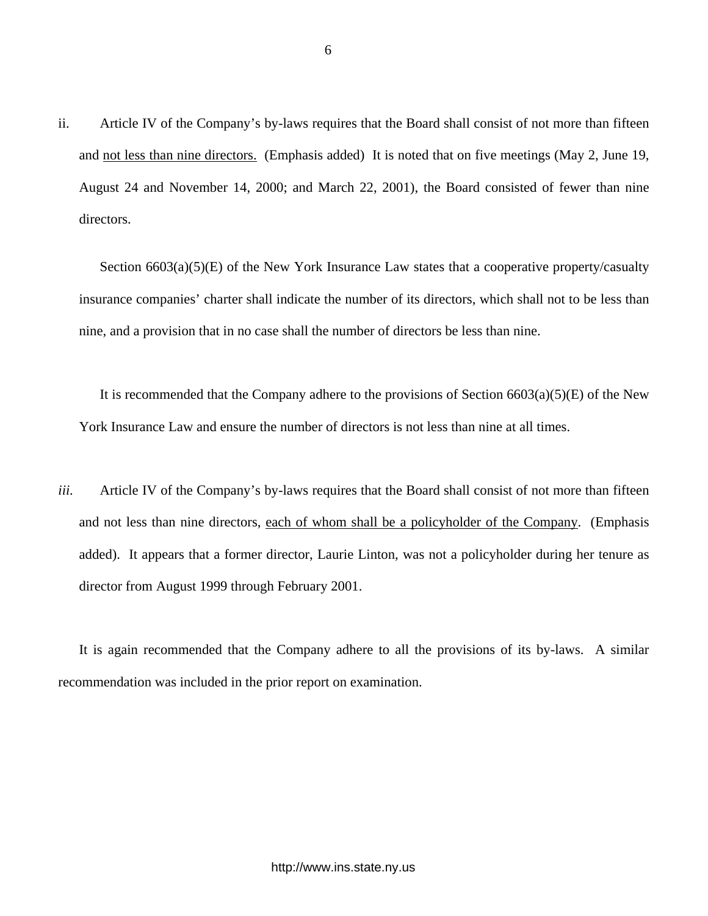ii. Article IV of the Company's by-laws requires that the Board shall consist of not more than fifteen and not less than nine directors. (Emphasis added) It is noted that on five meetings (May 2, June 19, August 24 and November 14, 2000; and March 22, 2001), the Board consisted of fewer than nine directors.

Section 6603(a)(5)(E) of the New York Insurance Law states that a cooperative property/casualty insurance companies' charter shall indicate the number of its directors, which shall not to be less than nine, and a provision that in no case shall the number of directors be less than nine.

It is recommended that the Company adhere to the provisions of Section  $6603(a)(5)(E)$  of the New York Insurance Law and ensure the number of directors is not less than nine at all times.

*iii.* Article IV of the Company's by-laws requires that the Board shall consist of not more than fifteen and not less than nine directors, each of whom shall be a policyholder of the Company. (Emphasis added). It appears that a former director, Laurie Linton, was not a policyholder during her tenure as director from August 1999 through February 2001.

It is again recommended that the Company adhere to all the provisions of its by-laws. A similar recommendation was included in the prior report on examination.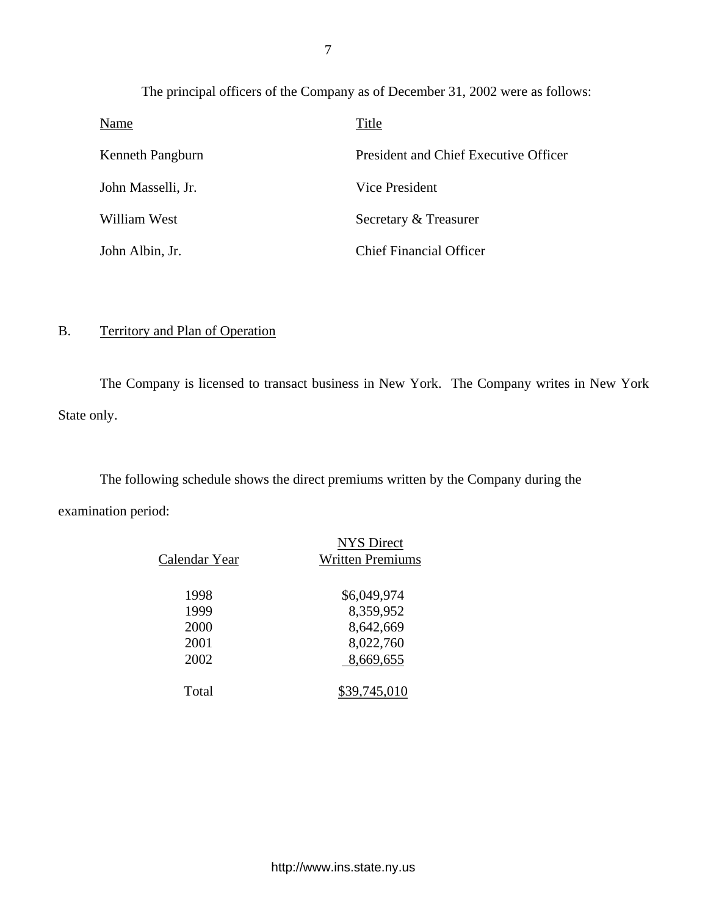The principal officers of the Company as of December 31, 2002 were as follows: Name Title

| Kenneth Pangburn   | President and Chief Executive Officer |
|--------------------|---------------------------------------|
| John Masselli, Jr. | Vice President                        |
| William West       | Secretary & Treasurer                 |
| John Albin, Jr.    | <b>Chief Financial Officer</b>        |

# B. Territory and Plan of Operation

The Company is licensed to transact business in New York. The Company writes in New York State only.

The following schedule shows the direct premiums written by the Company during the examination period:

|               | <b>NYS Direct</b>       |
|---------------|-------------------------|
| Calendar Year | <b>Written Premiums</b> |
|               |                         |
| 1998          | \$6,049,974             |
| 1999          | 8,359,952               |
| 2000          | 8,642,669               |
| 2001          | 8,022,760               |
| 2002          | 8,669,655               |
|               |                         |
| Total         | 9,745,010               |
|               |                         |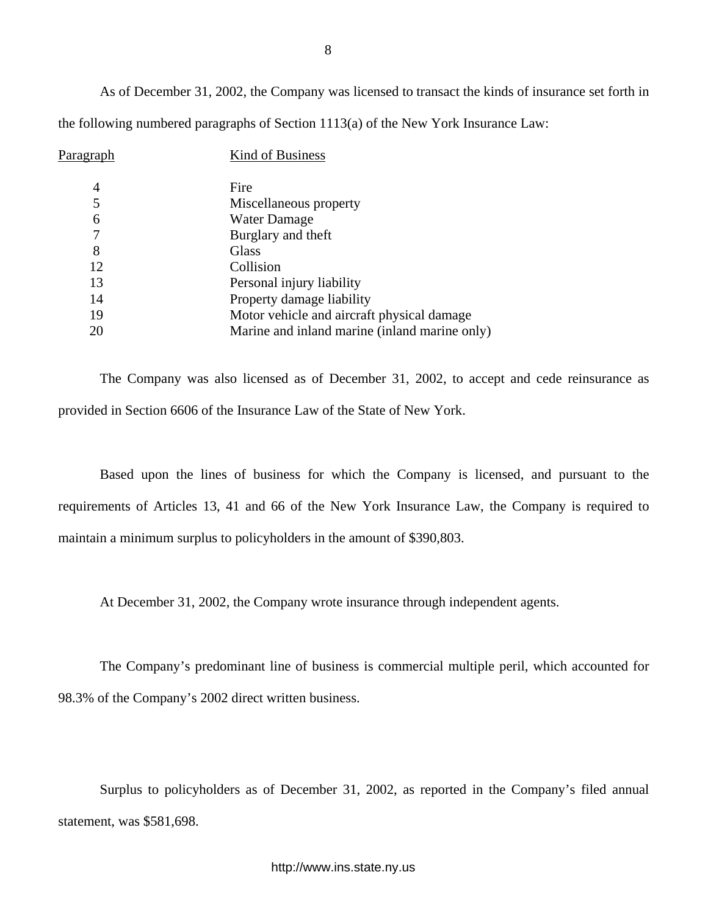As of December 31, 2002, the Company was licensed to transact the kinds of insurance set forth in the following numbered paragraphs of Section 1113(a) of the New York Insurance Law:

| P <u>aragraph</u> | Kind of Business                              |
|-------------------|-----------------------------------------------|
| 4                 | Fire                                          |
| 5                 | Miscellaneous property                        |
| 6                 | <b>Water Damage</b>                           |
|                   | Burglary and theft                            |
| 8                 | Glass                                         |
| 12                | Collision                                     |
| 13                | Personal injury liability                     |
| 14                | Property damage liability                     |
| 19                | Motor vehicle and aircraft physical damage    |
| 20                | Marine and inland marine (inland marine only) |

The Company was also licensed as of December 31, 2002, to accept and cede reinsurance as provided in Section 6606 of the Insurance Law of the State of New York.

Based upon the lines of business for which the Company is licensed, and pursuant to the requirements of Articles 13, 41 and 66 of the New York Insurance Law, the Company is required to maintain a minimum surplus to policyholders in the amount of \$390,803.

At December 31, 2002, the Company wrote insurance through independent agents.

The Company's predominant line of business is commercial multiple peril, which accounted for 98.3% of the Company's 2002 direct written business.

Surplus to policyholders as of December 31, 2002, as reported in the Company's filed annual statement, was \$581,698.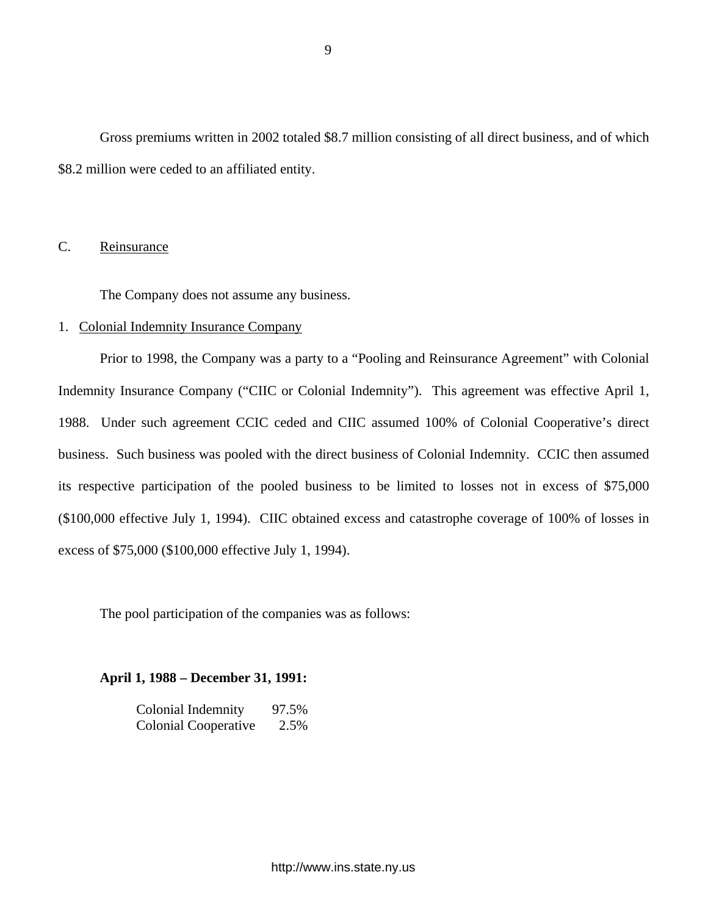<span id="page-10-0"></span>Gross premiums written in 2002 totaled \$8.7 million consisting of all direct business, and of which \$8.2 million were ceded to an affiliated entity.

# C. Reinsurance

The Company does not assume any business.

# 1. Colonial Indemnity Insurance Company

Prior to 1998, the Company was a party to a "Pooling and Reinsurance Agreement" with Colonial Indemnity Insurance Company ("CIIC or Colonial Indemnity"). This agreement was effective April 1, 1988. Under such agreement CCIC ceded and CIIC assumed 100% of Colonial Cooperative's direct business. Such business was pooled with the direct business of Colonial Indemnity. CCIC then assumed its respective participation of the pooled business to be limited to losses not in excess of \$75,000 (\$100,000 effective July 1, 1994). CIIC obtained excess and catastrophe coverage of 100% of losses in excess of \$75,000 (\$100,000 effective July 1, 1994).

The pool participation of the companies was as follows:

**April 1, 1988 – December 31, 1991:** 

| Colonial Indemnity          | 97.5% |
|-----------------------------|-------|
| <b>Colonial Cooperative</b> | 2.5%  |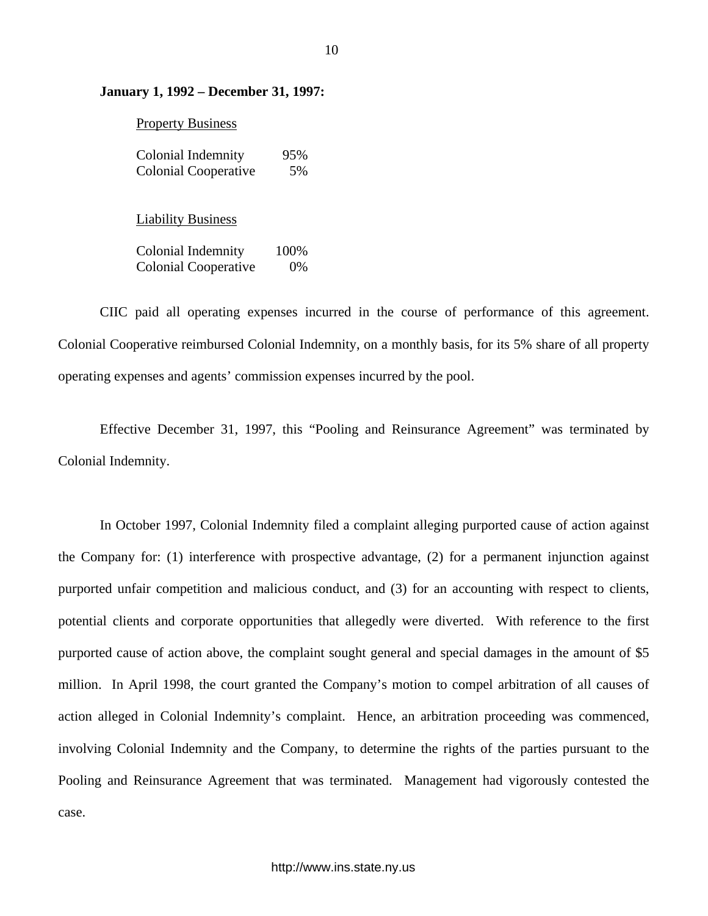# **January 1, 1992 – December 31, 1997:**

|  | <b>Property Business</b> |
|--|--------------------------|
|  |                          |

| Colonial Indemnity          | 95% |
|-----------------------------|-----|
| <b>Colonial Cooperative</b> | 5%  |

Liability Business

Colonial Indemnity 100% Colonial Cooperative 0%

CIIC paid all operating expenses incurred in the course of performance of this agreement. Colonial Cooperative reimbursed Colonial Indemnity, on a monthly basis, for its 5% share of all property operating expenses and agents' commission expenses incurred by the pool.

Effective December 31, 1997, this "Pooling and Reinsurance Agreement" was terminated by Colonial Indemnity.

In October 1997, Colonial Indemnity filed a complaint alleging purported cause of action against the Company for: (1) interference with prospective advantage, (2) for a permanent injunction against purported unfair competition and malicious conduct, and (3) for an accounting with respect to clients, potential clients and corporate opportunities that allegedly were diverted. With reference to the first purported cause of action above, the complaint sought general and special damages in the amount of \$5 million. In April 1998, the court granted the Company's motion to compel arbitration of all causes of action alleged in Colonial Indemnity's complaint. Hence, an arbitration proceeding was commenced, involving Colonial Indemnity and the Company, to determine the rights of the parties pursuant to the Pooling and Reinsurance Agreement that was terminated. Management had vigorously contested the case.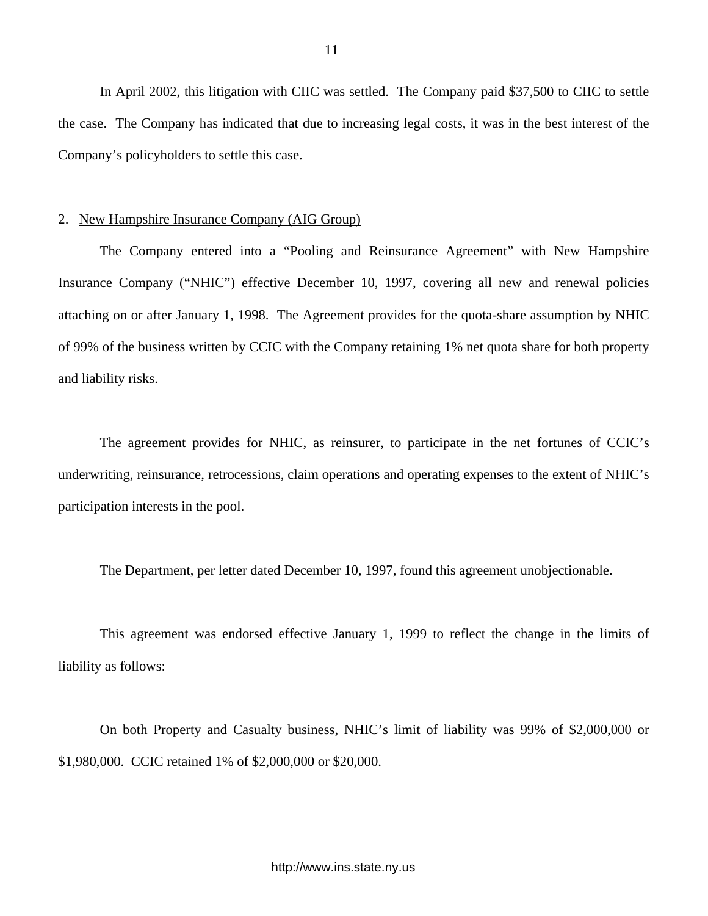In April 2002, this litigation with CIIC was settled. The Company paid \$37,500 to CIIC to settle the case. The Company has indicated that due to increasing legal costs, it was in the best interest of the Company's policyholders to settle this case.

# 2. New Hampshire Insurance Company (AIG Group)

The Company entered into a "Pooling and Reinsurance Agreement" with New Hampshire Insurance Company ("NHIC") effective December 10, 1997, covering all new and renewal policies attaching on or after January 1, 1998. The Agreement provides for the quota-share assumption by NHIC of 99% of the business written by CCIC with the Company retaining 1% net quota share for both property and liability risks.

The agreement provides for NHIC, as reinsurer, to participate in the net fortunes of CCIC's underwriting, reinsurance, retrocessions, claim operations and operating expenses to the extent of NHIC's participation interests in the pool.

The Department, per letter dated December 10, 1997, found this agreement unobjectionable.

This agreement was endorsed effective January 1, 1999 to reflect the change in the limits of liability as follows:

On both Property and Casualty business, NHIC's limit of liability was 99% of \$2,000,000 or \$1,980,000. CCIC retained 1% of \$2,000,000 or \$20,000.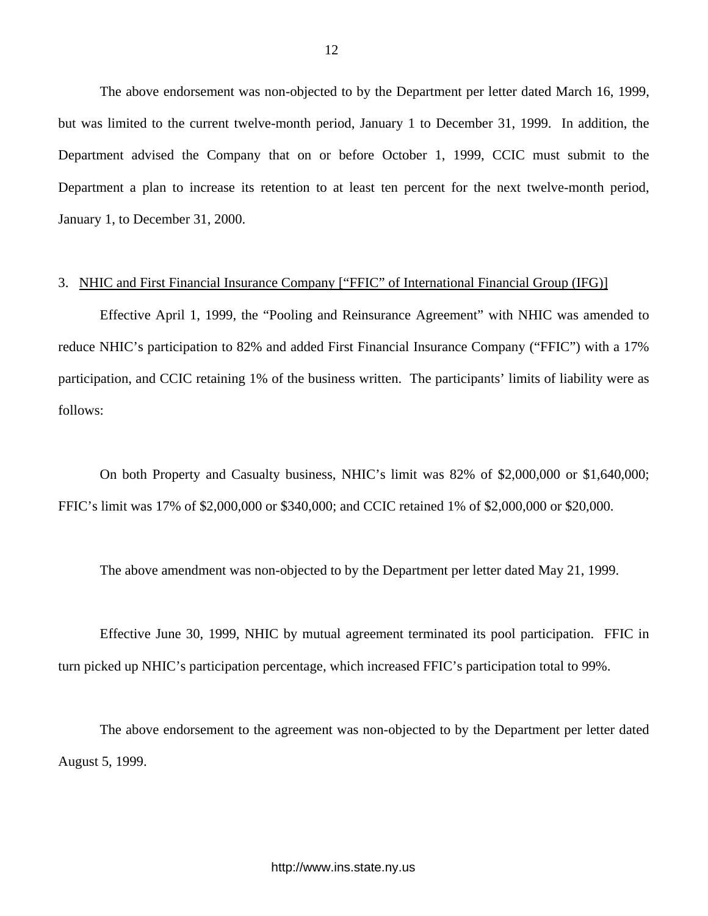The above endorsement was non-objected to by the Department per letter dated March 16, 1999, but was limited to the current twelve-month period, January 1 to December 31, 1999. In addition, the Department advised the Company that on or before October 1, 1999, CCIC must submit to the Department a plan to increase its retention to at least ten percent for the next twelve-month period, January 1, to December 31, 2000.

### 3. NHIC and First Financial Insurance Company ["FFIC" of International Financial Group (IFG)]

Effective April 1, 1999, the "Pooling and Reinsurance Agreement" with NHIC was amended to reduce NHIC's participation to 82% and added First Financial Insurance Company ("FFIC") with a 17% participation, and CCIC retaining 1% of the business written. The participants' limits of liability were as follows:

On both Property and Casualty business, NHIC's limit was 82% of \$2,000,000 or \$1,640,000; FFIC's limit was 17% of \$2,000,000 or \$340,000; and CCIC retained 1% of \$2,000,000 or \$20,000.

The above amendment was non-objected to by the Department per letter dated May 21, 1999.

Effective June 30, 1999, NHIC by mutual agreement terminated its pool participation. FFIC in turn picked up NHIC's participation percentage, which increased FFIC's participation total to 99%.

The above endorsement to the agreement was non-objected to by the Department per letter dated August 5, 1999.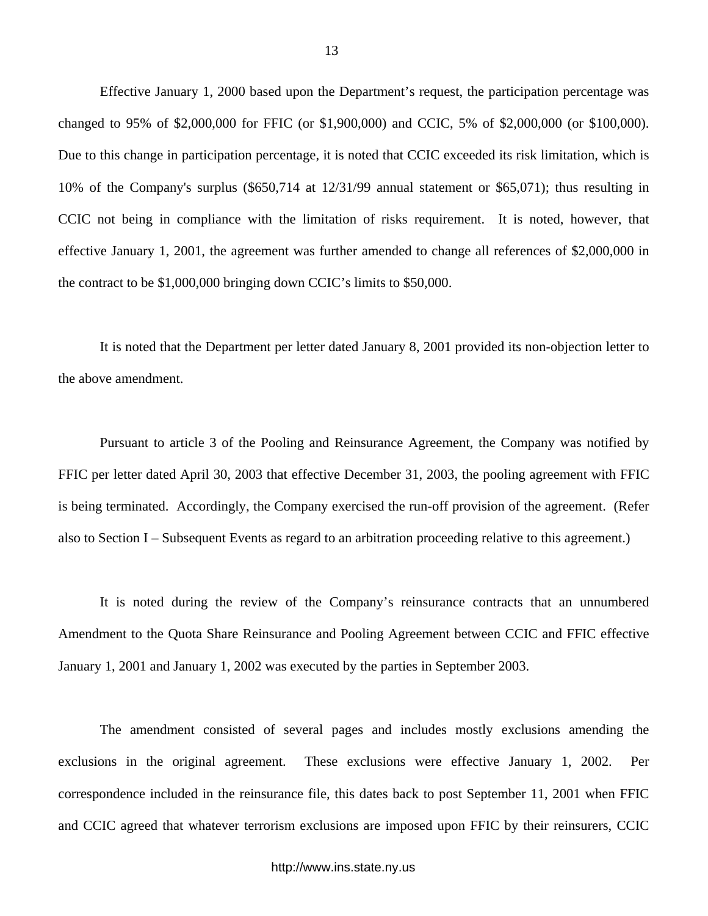Effective January 1, 2000 based upon the Department's request, the participation percentage was changed to 95% of \$2,000,000 for FFIC (or \$1,900,000) and CCIC, 5% of \$2,000,000 (or \$100,000). Due to this change in participation percentage, it is noted that CCIC exceeded its risk limitation, which is 10% of the Company's surplus (\$650,714 at 12/31/99 annual statement or \$65,071); thus resulting in CCIC not being in compliance with the limitation of risks requirement. It is noted, however, that effective January 1, 2001, the agreement was further amended to change all references of \$2,000,000 in the contract to be \$1,000,000 bringing down CCIC's limits to \$50,000.

It is noted that the Department per letter dated January 8, 2001 provided its non-objection letter to the above amendment.

Pursuant to article 3 of the Pooling and Reinsurance Agreement, the Company was notified by FFIC per letter dated April 30, 2003 that effective December 31, 2003, the pooling agreement with FFIC is being terminated. Accordingly, the Company exercised the run-off provision of the agreement. (Refer also to Section I – Subsequent Events as regard to an arbitration proceeding relative to this agreement.)

It is noted during the review of the Company's reinsurance contracts that an unnumbered Amendment to the Quota Share Reinsurance and Pooling Agreement between CCIC and FFIC effective January 1, 2001 and January 1, 2002 was executed by the parties in September 2003.

The amendment consisted of several pages and includes mostly exclusions amending the exclusions in the original agreement. These exclusions were effective January 1, 2002. Per correspondence included in the reinsurance file, this dates back to post September 11, 2001 when FFIC and CCIC agreed that whatever terrorism exclusions are imposed upon FFIC by their reinsurers, CCIC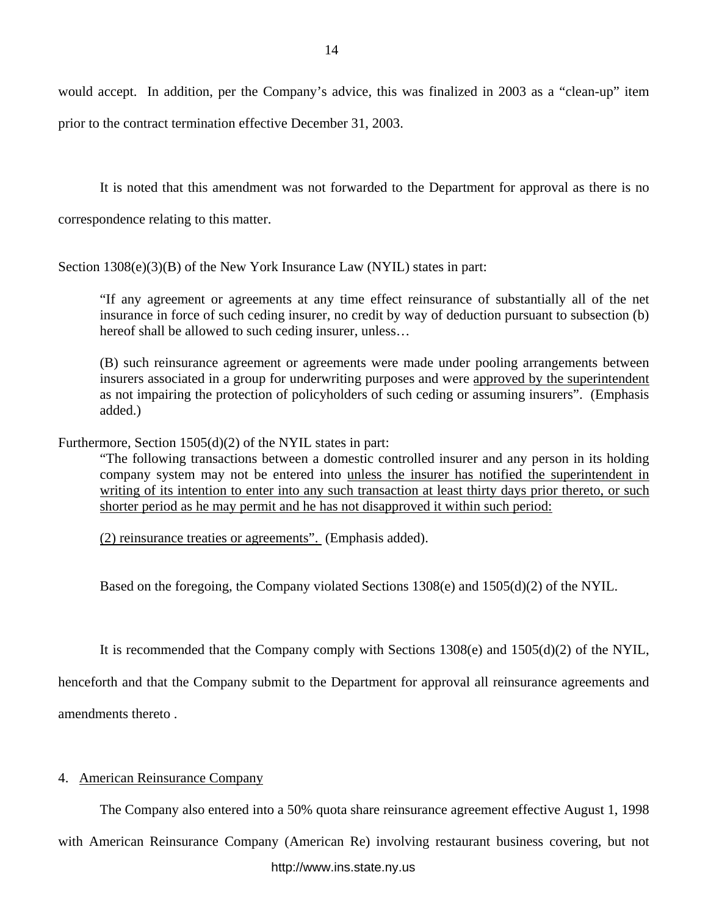would accept. In addition, per the Company's advice, this was finalized in 2003 as a "clean-up" item prior to the contract termination effective December 31, 2003.

It is noted that this amendment was not forwarded to the Department for approval as there is no correspondence relating to this matter.

Section 1308(e)(3)(B) of the New York Insurance Law (NYIL) states in part:

"If any agreement or agreements at any time effect reinsurance of substantially all of the net insurance in force of such ceding insurer, no credit by way of deduction pursuant to subsection (b) hereof shall be allowed to such ceding insurer, unless…

(B) such reinsurance agreement or agreements were made under pooling arrangements between insurers associated in a group for underwriting purposes and were approved by the superintendent as not impairing the protection of policyholders of such ceding or assuming insurers". (Emphasis added.)

Furthermore, Section 1505(d)(2) of the NYIL states in part:

"The following transactions between a domestic controlled insurer and any person in its holding company system may not be entered into unless the insurer has notified the superintendent in writing of its intention to enter into any such transaction at least thirty days prior thereto, or such shorter period as he may permit and he has not disapproved it within such period:

(2) reinsurance treaties or agreements". (Emphasis added).

Based on the foregoing, the Company violated Sections 1308(e) and 1505(d)(2) of the NYIL.

It is recommended that the Company comply with Sections 1308(e) and 1505(d)(2) of the NYIL,

henceforth and that the Company submit to the Department for approval all reinsurance agreements and amendments thereto .

# 4. American Reinsurance Company

The Company also entered into a 50% quota share reinsurance agreement effective August 1, 1998

with American Reinsurance Company (American Re) involving restaurant business covering, but not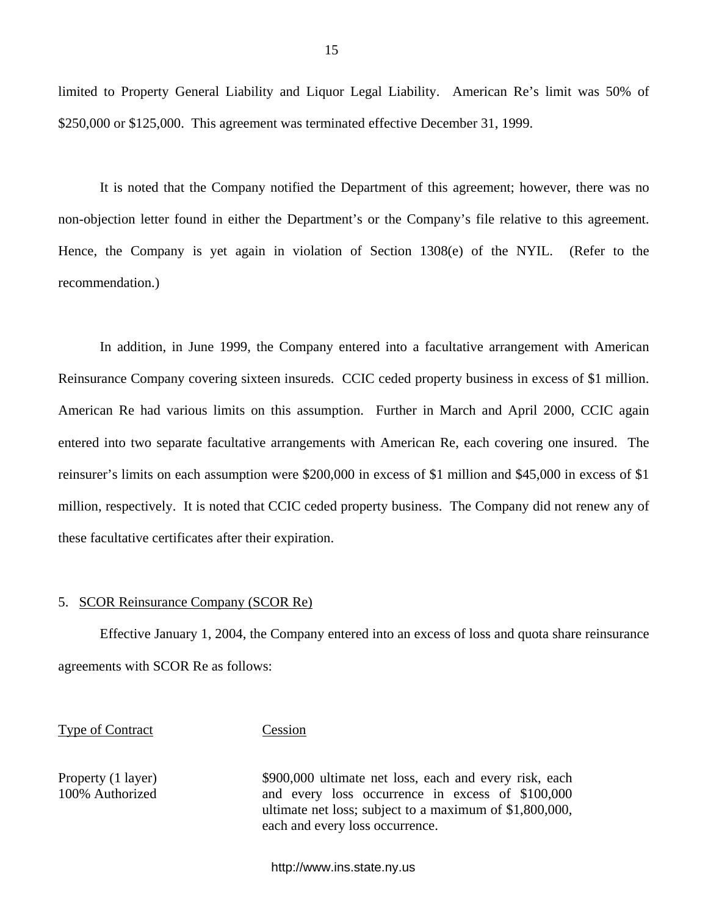limited to Property General Liability and Liquor Legal Liability. American Re's limit was 50% of \$250,000 or \$125,000. This agreement was terminated effective December 31, 1999.

It is noted that the Company notified the Department of this agreement; however, there was no non-objection letter found in either the Department's or the Company's file relative to this agreement. Hence, the Company is yet again in violation of Section 1308(e) of the NYIL. (Refer to the recommendation.)

In addition, in June 1999, the Company entered into a facultative arrangement with American Reinsurance Company covering sixteen insureds. CCIC ceded property business in excess of \$1 million. American Re had various limits on this assumption. Further in March and April 2000, CCIC again entered into two separate facultative arrangements with American Re, each covering one insured. The reinsurer's limits on each assumption were \$200,000 in excess of \$1 million and \$45,000 in excess of \$1 million, respectively. It is noted that CCIC ceded property business. The Company did not renew any of these facultative certificates after their expiration.

### 5. SCOR Reinsurance Company (SCOR Re)

Effective January 1, 2004, the Company entered into an excess of loss and quota share reinsurance agreements with SCOR Re as follows:

#### Type of Contract Cession

Property (1 layer) \$900,000 ultimate net loss, each and every risk, each 100% Authorized and every loss occurrence in excess of \$100,000 ultimate net loss; subject to a maximum of \$1,800,000, each and every loss occurrence.

<http://www.ins.state.ny.us>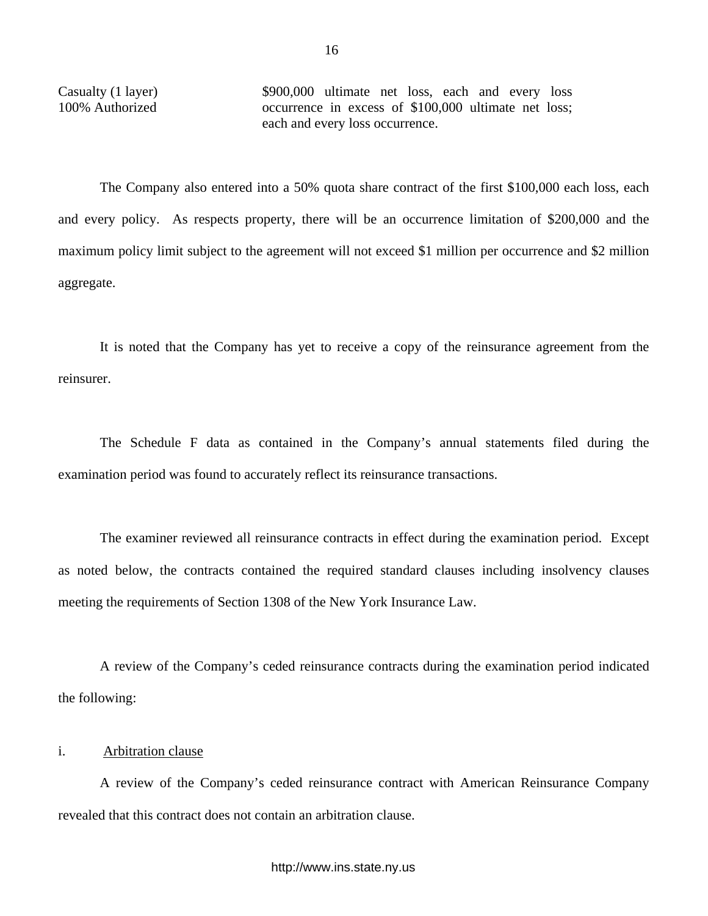Casualty (1 layer) \$900,000 ultimate net loss, each and every loss 100% Authorized occurrence in excess of \$100,000 ultimate net loss; each and every loss occurrence.

The Company also entered into a 50% quota share contract of the first \$100,000 each loss, each and every policy. As respects property, there will be an occurrence limitation of \$200,000 and the maximum policy limit subject to the agreement will not exceed \$1 million per occurrence and \$2 million aggregate.

It is noted that the Company has yet to receive a copy of the reinsurance agreement from the reinsurer.

The Schedule F data as contained in the Company's annual statements filed during the examination period was found to accurately reflect its reinsurance transactions.

The examiner reviewed all reinsurance contracts in effect during the examination period. Except as noted below, the contracts contained the required standard clauses including insolvency clauses meeting the requirements of Section 1308 of the New York Insurance Law.

A review of the Company's ceded reinsurance contracts during the examination period indicated the following:

# i. Arbitration clause

A review of the Company's ceded reinsurance contract with American Reinsurance Company revealed that this contract does not contain an arbitration clause.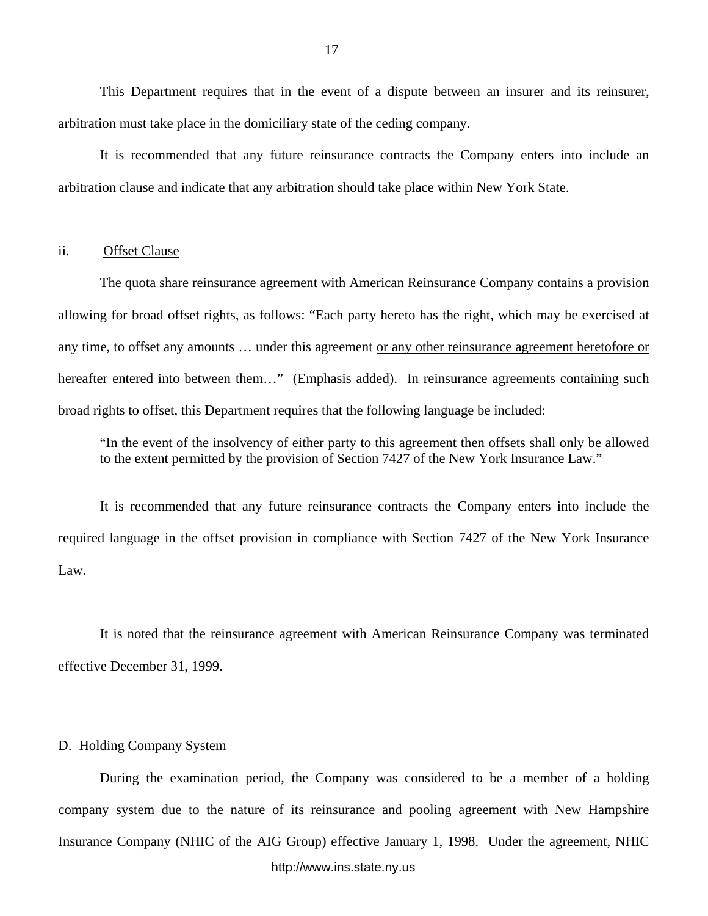<span id="page-18-0"></span>This Department requires that in the event of a dispute between an insurer and its reinsurer, arbitration must take place in the domiciliary state of the ceding company.

It is recommended that any future reinsurance contracts the Company enters into include an arbitration clause and indicate that any arbitration should take place within New York State.

### ii. Offset Clause

The quota share reinsurance agreement with American Reinsurance Company contains a provision allowing for broad offset rights, as follows: "Each party hereto has the right, which may be exercised at any time, to offset any amounts … under this agreement or any other reinsurance agreement heretofore or hereafter entered into between them…" (Emphasis added). In reinsurance agreements containing such broad rights to offset, this Department requires that the following language be included:

"In the event of the insolvency of either party to this agreement then offsets shall only be allowed to the extent permitted by the provision of Section 7427 of the New York Insurance Law."

It is recommended that any future reinsurance contracts the Company enters into include the required language in the offset provision in compliance with Section 7427 of the New York Insurance Law.

It is noted that the reinsurance agreement with American Reinsurance Company was terminated effective December 31, 1999.

### D. Holding Company System

During the examination period, the Company was considered to be a member of a holding company system due to the nature of its reinsurance and pooling agreement with New Hampshire Insurance Company (NHIC of the AIG Group) effective January 1, 1998. Under the agreement, NHIC <http://www.ins.state.ny.us>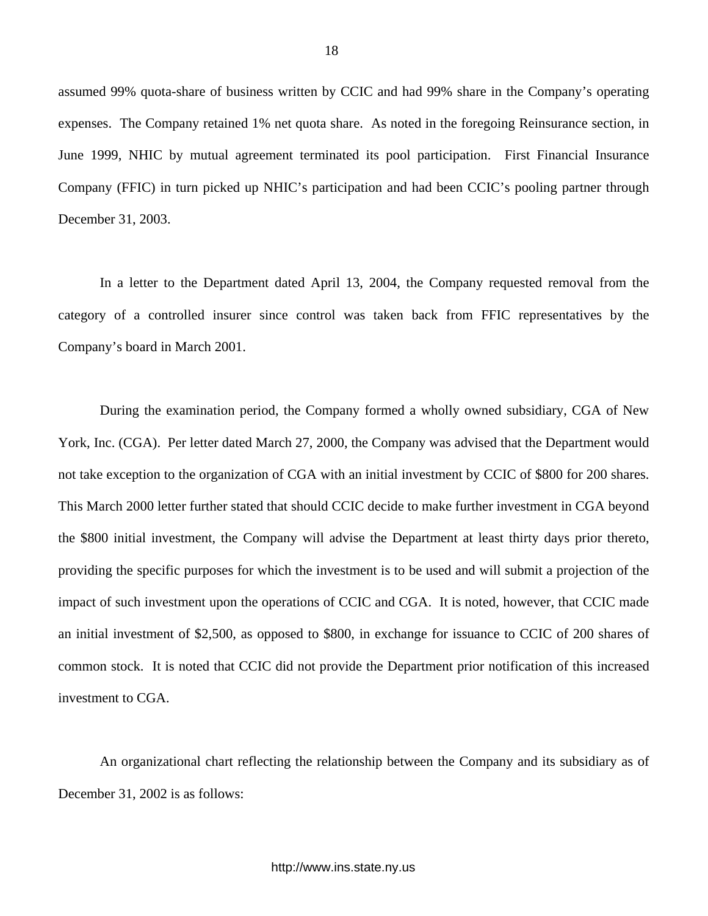assumed 99% quota-share of business written by CCIC and had 99% share in the Company's operating expenses. The Company retained 1% net quota share. As noted in the foregoing Reinsurance section, in June 1999, NHIC by mutual agreement terminated its pool participation. First Financial Insurance Company (FFIC) in turn picked up NHIC's participation and had been CCIC's pooling partner through December 31, 2003.

In a letter to the Department dated April 13, 2004, the Company requested removal from the category of a controlled insurer since control was taken back from FFIC representatives by the Company's board in March 2001.

During the examination period, the Company formed a wholly owned subsidiary, CGA of New York, Inc. (CGA). Per letter dated March 27, 2000, the Company was advised that the Department would not take exception to the organization of CGA with an initial investment by CCIC of \$800 for 200 shares. This March 2000 letter further stated that should CCIC decide to make further investment in CGA beyond the \$800 initial investment, the Company will advise the Department at least thirty days prior thereto, providing the specific purposes for which the investment is to be used and will submit a projection of the impact of such investment upon the operations of CCIC and CGA. It is noted, however, that CCIC made an initial investment of \$2,500, as opposed to \$800, in exchange for issuance to CCIC of 200 shares of common stock. It is noted that CCIC did not provide the Department prior notification of this increased investment to CGA.

An organizational chart reflecting the relationship between the Company and its subsidiary as of December 31, 2002 is as follows: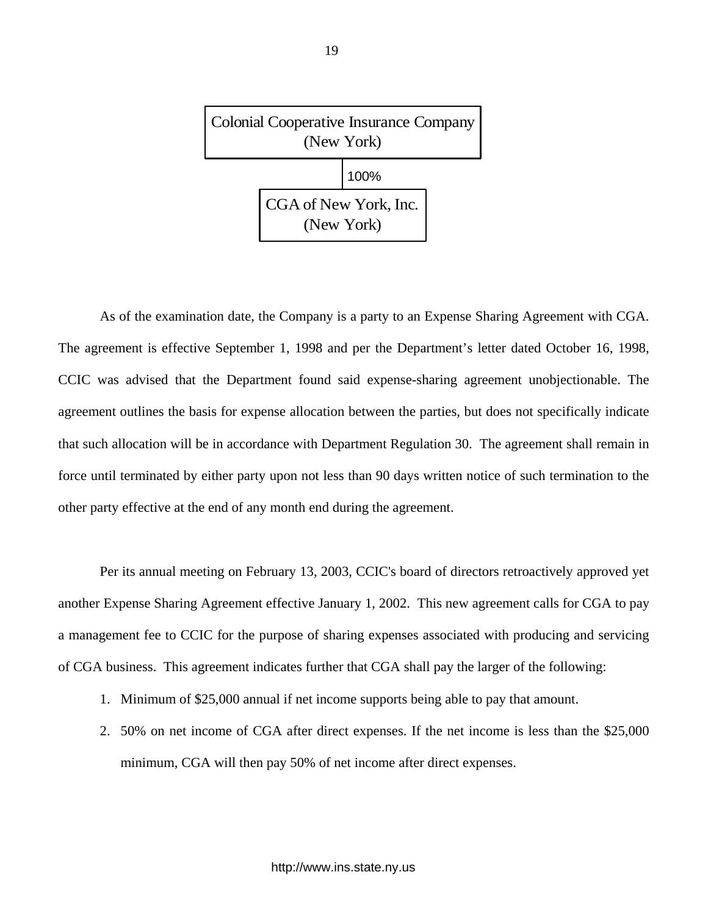

As of the examination date, the Company is a party to an Expense Sharing Agreement with CGA. The agreement is effective September 1, 1998 and per the Department's letter dated October 16, 1998, CCIC was advised that the Department found said expense-sharing agreement unobjectionable. The agreement outlines the basis for expense allocation between the parties, but does not specifically indicate that such allocation will be in accordance with Department Regulation 30. The agreement shall remain in force until terminated by either party upon not less than 90 days written notice of such termination to the other party effective at the end of any month end during the agreement.

Per its annual meeting on February 13, 2003, CCIC's board of directors retroactively approved yet another Expense Sharing Agreement effective January 1, 2002. This new agreement calls for CGA to pay a management fee to CCIC for the purpose of sharing expenses associated with producing and servicing of CGA business. This agreement indicates further that CGA shall pay the larger of the following:

- 1. Minimum of \$25,000 annual if net income supports being able to pay that amount.
- 2. 50% on net income of CGA after direct expenses. If the net income is less than the \$25,000 minimum, CGA will then pay 50% of net income after direct expenses.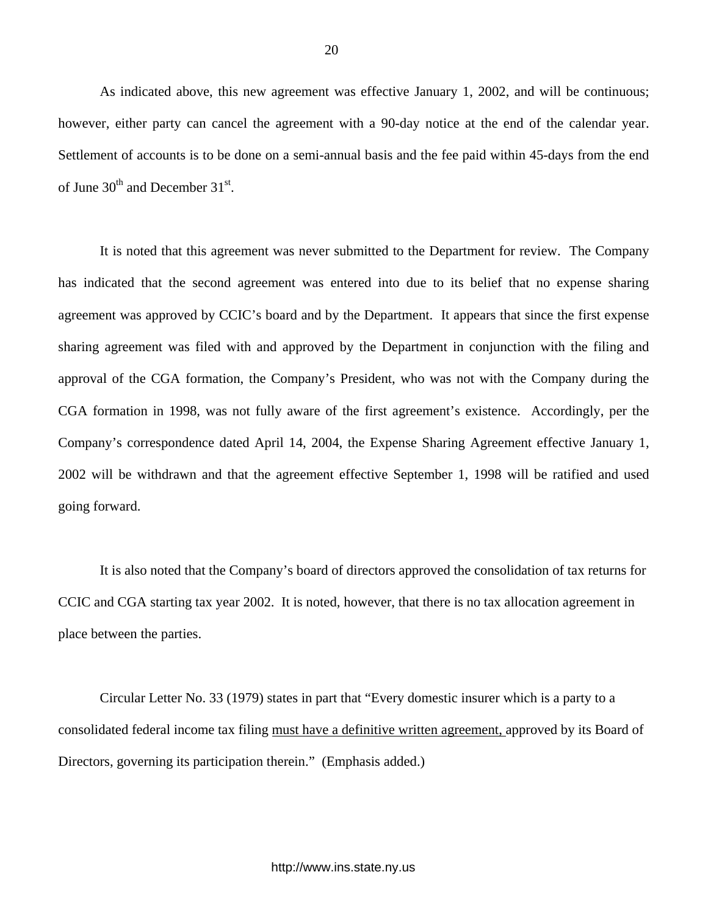As indicated above, this new agreement was effective January 1, 2002, and will be continuous; however, either party can cancel the agreement with a 90-day notice at the end of the calendar year. Settlement of accounts is to be done on a semi-annual basis and the fee paid within 45-days from the end of June  $30<sup>th</sup>$  and December  $31<sup>st</sup>$ .

It is noted that this agreement was never submitted to the Department for review. The Company has indicated that the second agreement was entered into due to its belief that no expense sharing agreement was approved by CCIC's board and by the Department. It appears that since the first expense sharing agreement was filed with and approved by the Department in conjunction with the filing and approval of the CGA formation, the Company's President, who was not with the Company during the CGA formation in 1998, was not fully aware of the first agreement's existence. Accordingly, per the Company's correspondence dated April 14, 2004, the Expense Sharing Agreement effective January 1, 2002 will be withdrawn and that the agreement effective September 1, 1998 will be ratified and used going forward.

It is also noted that the Company's board of directors approved the consolidation of tax returns for CCIC and CGA starting tax year 2002. It is noted, however, that there is no tax allocation agreement in place between the parties.

Circular Letter No. 33 (1979) states in part that "Every domestic insurer which is a party to a consolidated federal income tax filing must have a definitive written agreement, approved by its Board of Directors, governing its participation therein." (Emphasis added.)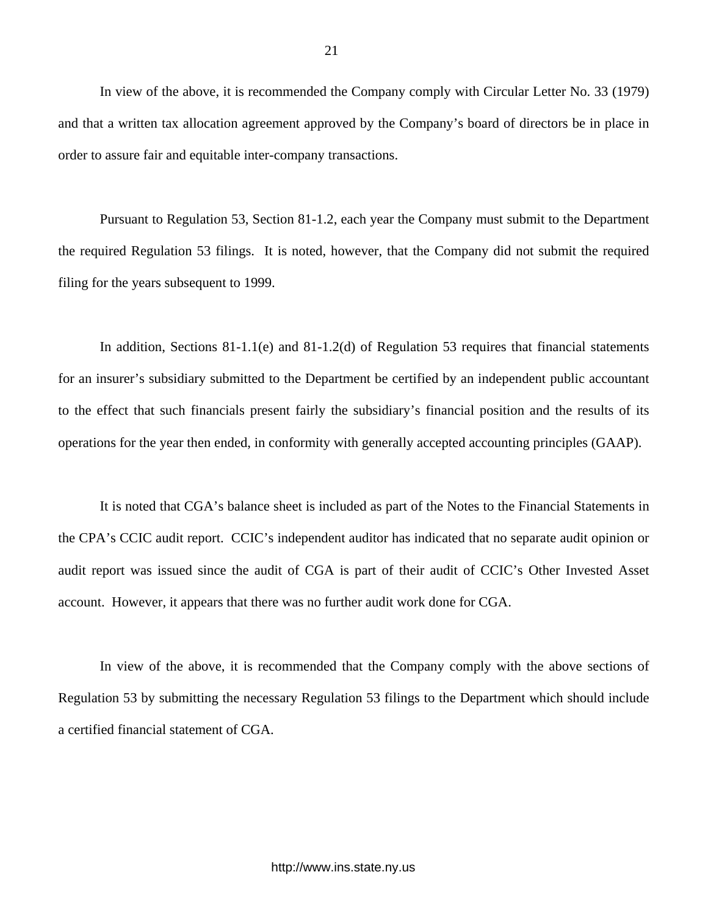In view of the above, it is recommended the Company comply with Circular Letter No. 33 (1979) and that a written tax allocation agreement approved by the Company's board of directors be in place in order to assure fair and equitable inter-company transactions.

Pursuant to Regulation 53, Section 81-1.2, each year the Company must submit to the Department the required Regulation 53 filings. It is noted, however, that the Company did not submit the required filing for the years subsequent to 1999.

In addition, Sections 81-1.1(e) and 81-1.2(d) of Regulation 53 requires that financial statements for an insurer's subsidiary submitted to the Department be certified by an independent public accountant to the effect that such financials present fairly the subsidiary's financial position and the results of its operations for the year then ended, in conformity with generally accepted accounting principles (GAAP).

It is noted that CGA's balance sheet is included as part of the Notes to the Financial Statements in the CPA's CCIC audit report. CCIC's independent auditor has indicated that no separate audit opinion or audit report was issued since the audit of CGA is part of their audit of CCIC's Other Invested Asset account. However, it appears that there was no further audit work done for CGA.

In view of the above, it is recommended that the Company comply with the above sections of Regulation 53 by submitting the necessary Regulation 53 filings to the Department which should include a certified financial statement of CGA.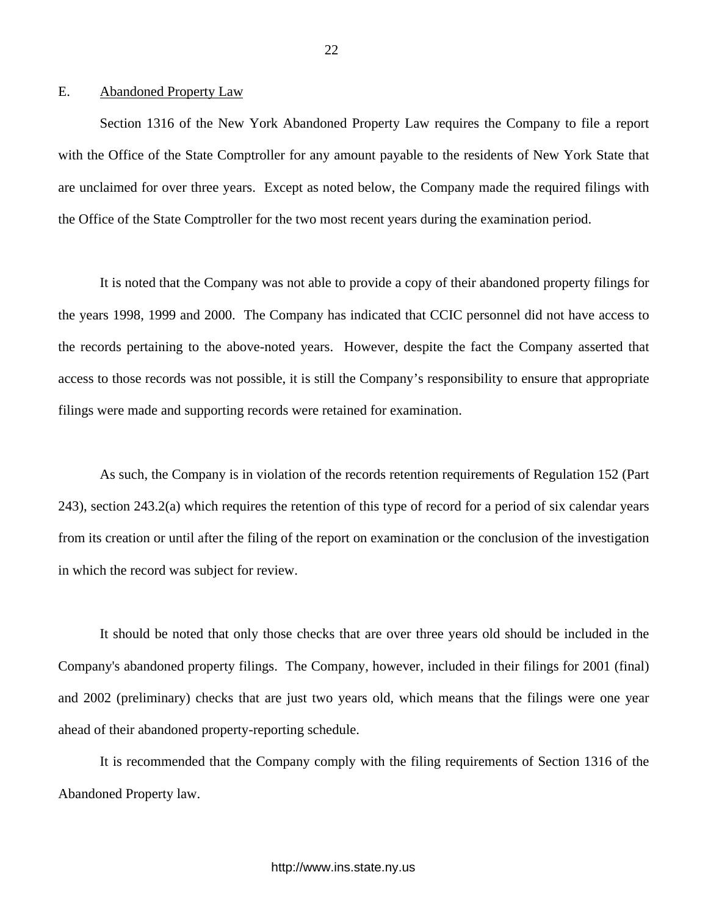# <span id="page-23-0"></span>E. Abandoned Property Law

Section 1316 of the New York Abandoned Property Law requires the Company to file a report with the Office of the State Comptroller for any amount payable to the residents of New York State that are unclaimed for over three years. Except as noted below, the Company made the required filings with the Office of the State Comptroller for the two most recent years during the examination period.

It is noted that the Company was not able to provide a copy of their abandoned property filings for the years 1998, 1999 and 2000. The Company has indicated that CCIC personnel did not have access to the records pertaining to the above-noted years. However, despite the fact the Company asserted that access to those records was not possible, it is still the Company's responsibility to ensure that appropriate filings were made and supporting records were retained for examination.

As such, the Company is in violation of the records retention requirements of Regulation 152 (Part 243), section 243.2(a) which requires the retention of this type of record for a period of six calendar years from its creation or until after the filing of the report on examination or the conclusion of the investigation in which the record was subject for review.

It should be noted that only those checks that are over three years old should be included in the Company's abandoned property filings. The Company, however, included in their filings for 2001 (final) and 2002 (preliminary) checks that are just two years old, which means that the filings were one year ahead of their abandoned property-reporting schedule.

It is recommended that the Company comply with the filing requirements of Section 1316 of the Abandoned Property law.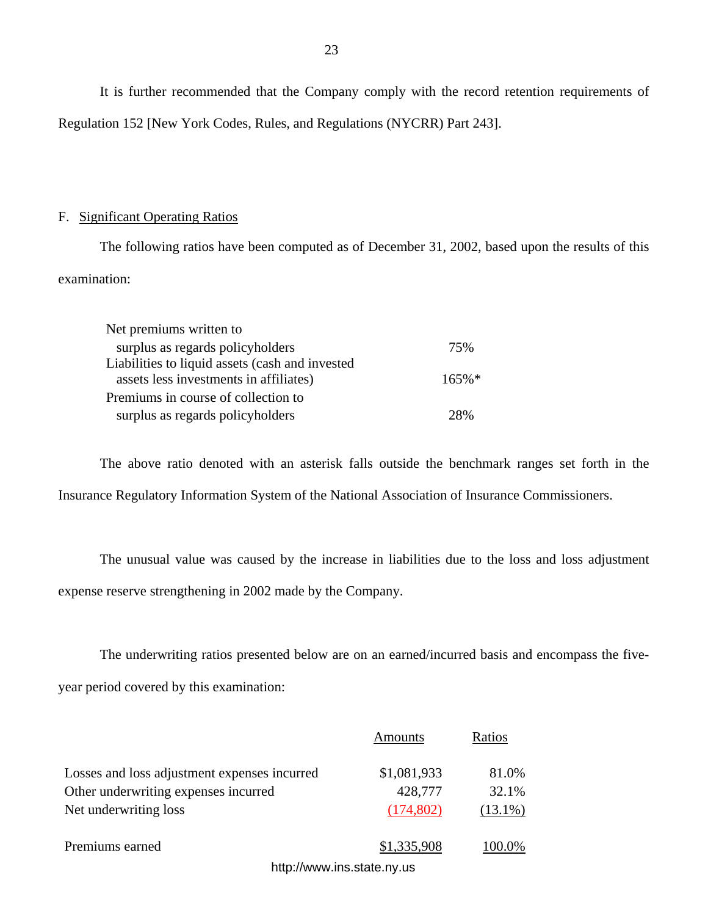It is further recommended that the Company comply with the record retention requirements of Regulation 152 [New York Codes, Rules, and Regulations (NYCRR) Part 243].

# F. Significant Operating Ratios

The following ratios have been computed as of December 31, 2002, based upon the results of this examination:

| Net premiums written to                                                                   |          |
|-------------------------------------------------------------------------------------------|----------|
| surplus as regards policyholders                                                          | 75%      |
| Liabilities to liquid assets (cash and invested<br>assets less investments in affiliates) | $165\%*$ |
| Premiums in course of collection to                                                       |          |
| surplus as regards policyholders                                                          | 28%      |

The above ratio denoted with an asterisk falls outside the benchmark ranges set forth in the Insurance Regulatory Information System of the National Association of Insurance Commissioners.

The unusual value was caused by the increase in liabilities due to the loss and loss adjustment expense reserve strengthening in 2002 made by the Company.

The underwriting ratios presented below are on an earned/incurred basis and encompass the fiveyear period covered by this examination:

|                                                    | Amounts     | Ratios     |
|----------------------------------------------------|-------------|------------|
| Losses and loss adjustment expenses incurred       | \$1,081,933 | 81.0%      |
| Other underwriting expenses incurred               | 428,777     | 32.1%      |
| Net underwriting loss                              | (174,802)   | $(13.1\%)$ |
| Premiums earned                                    | \$1,335,908 | 00.0%      |
| latte de la composición de la contrata de la compo |             |            |

23

<http://www.ins.state.ny.us>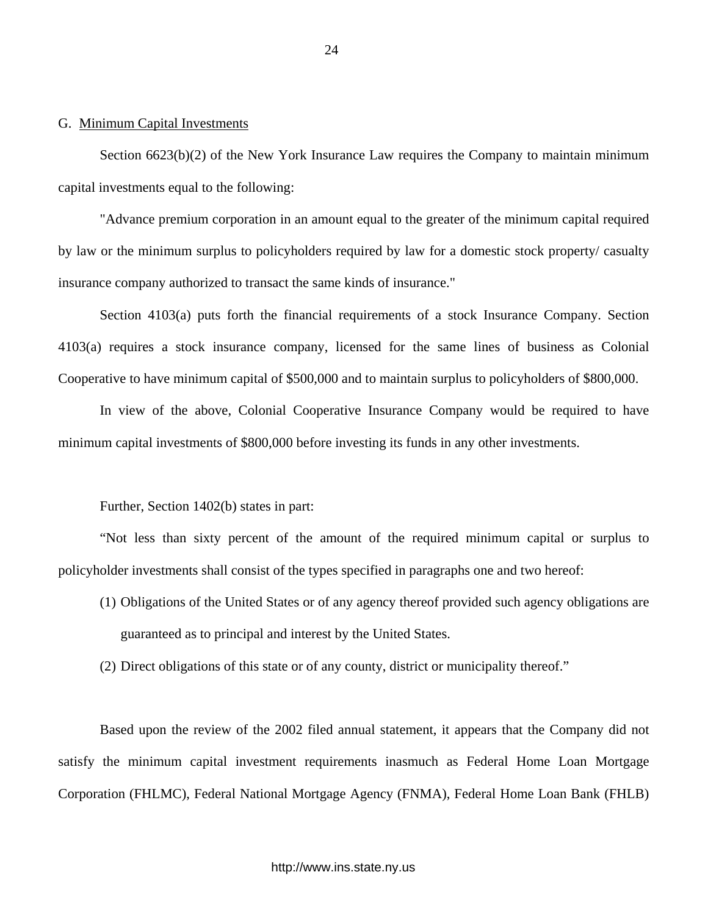# <span id="page-25-0"></span>G. Minimum Capital Investments

Section 6623(b)(2) of the New York Insurance Law requires the Company to maintain minimum capital investments equal to the following:

"Advance premium corporation in an amount equal to the greater of the minimum capital required by law or the minimum surplus to policyholders required by law for a domestic stock property/ casualty insurance company authorized to transact the same kinds of insurance."

Section 4103(a) puts forth the financial requirements of a stock Insurance Company. Section 4103(a) requires a stock insurance company, licensed for the same lines of business as Colonial Cooperative to have minimum capital of \$500,000 and to maintain surplus to policyholders of \$800,000.

In view of the above, Colonial Cooperative Insurance Company would be required to have minimum capital investments of \$800,000 before investing its funds in any other investments.

Further, Section 1402(b) states in part:

"Not less than sixty percent of the amount of the required minimum capital or surplus to policyholder investments shall consist of the types specified in paragraphs one and two hereof:

- (1) Obligations of the United States or of any agency thereof provided such agency obligations are guaranteed as to principal and interest by the United States.
- (2) Direct obligations of this state or of any county, district or municipality thereof."

Based upon the review of the 2002 filed annual statement, it appears that the Company did not satisfy the minimum capital investment requirements inasmuch as Federal Home Loan Mortgage Corporation (FHLMC), Federal National Mortgage Agency (FNMA), Federal Home Loan Bank (FHLB)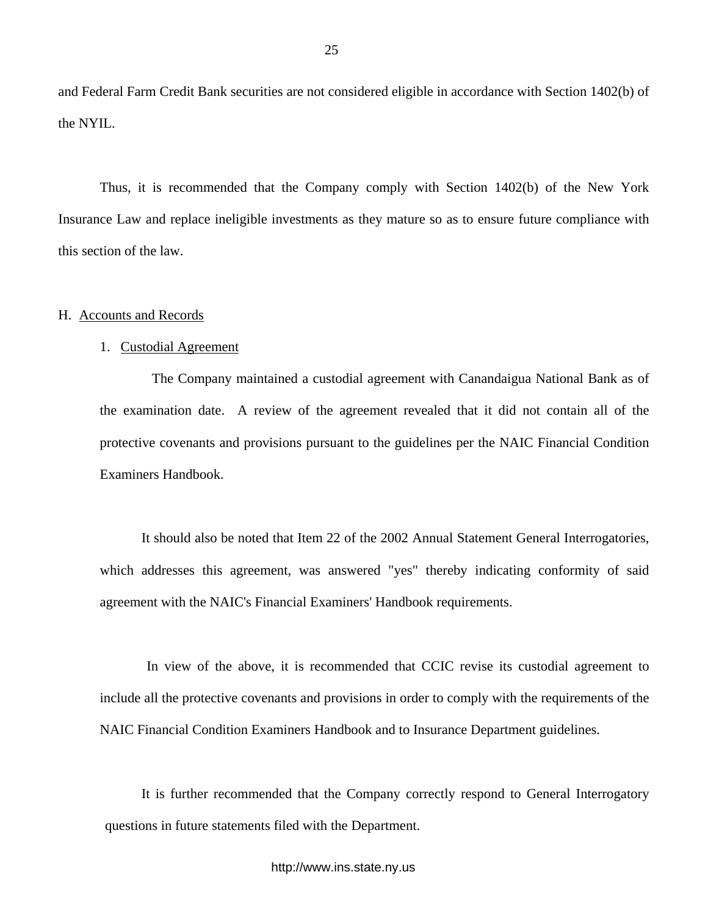<span id="page-26-0"></span>and Federal Farm Credit Bank securities are not considered eligible in accordance with Section 1402(b) of the NYIL.

Thus, it is recommended that the Company comply with Section 1402(b) of the New York Insurance Law and replace ineligible investments as they mature so as to ensure future compliance with this section of the law.

#### H. Accounts and Records

### 1. Custodial Agreement

The Company maintained a custodial agreement with Canandaigua National Bank as of the examination date. A review of the agreement revealed that it did not contain all of the protective covenants and provisions pursuant to the guidelines per the NAIC Financial Condition Examiners Handbook.

It should also be noted that Item 22 of the 2002 Annual Statement General Interrogatories, which addresses this agreement, was answered "yes" thereby indicating conformity of said agreement with the NAIC's Financial Examiners' Handbook requirements.

In view of the above, it is recommended that CCIC revise its custodial agreement to include all the protective covenants and provisions in order to comply with the requirements of the NAIC Financial Condition Examiners Handbook and to Insurance Department guidelines.

It is further recommended that the Company correctly respond to General Interrogatory questions in future statements filed with the Department.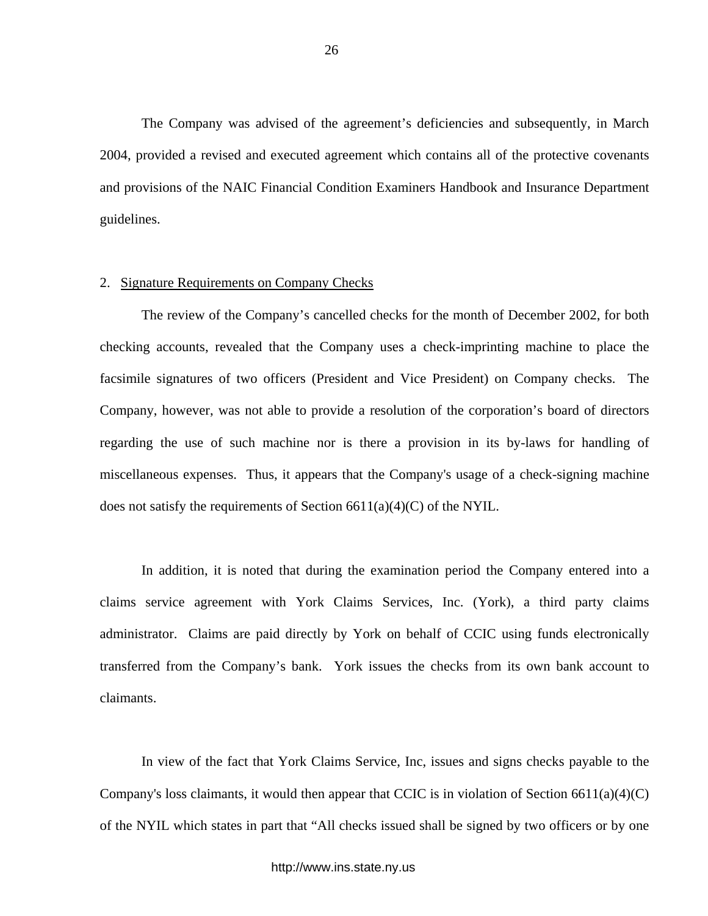The Company was advised of the agreement's deficiencies and subsequently, in March 2004, provided a revised and executed agreement which contains all of the protective covenants and provisions of the NAIC Financial Condition Examiners Handbook and Insurance Department guidelines.

### 2. Signature Requirements on Company Checks

The review of the Company's cancelled checks for the month of December 2002, for both checking accounts, revealed that the Company uses a check-imprinting machine to place the facsimile signatures of two officers (President and Vice President) on Company checks. The Company, however, was not able to provide a resolution of the corporation's board of directors regarding the use of such machine nor is there a provision in its by-laws for handling of miscellaneous expenses. Thus, it appears that the Company's usage of a check-signing machine does not satisfy the requirements of Section  $6611(a)(4)(C)$  of the NYIL.

In addition, it is noted that during the examination period the Company entered into a claims service agreement with York Claims Services, Inc. (York), a third party claims administrator. Claims are paid directly by York on behalf of CCIC using funds electronically transferred from the Company's bank. York issues the checks from its own bank account to claimants.

In view of the fact that York Claims Service, Inc, issues and signs checks payable to the Company's loss claimants, it would then appear that CCIC is in violation of Section  $6611(a)(4)(C)$ of the NYIL which states in part that "All checks issued shall be signed by two officers or by one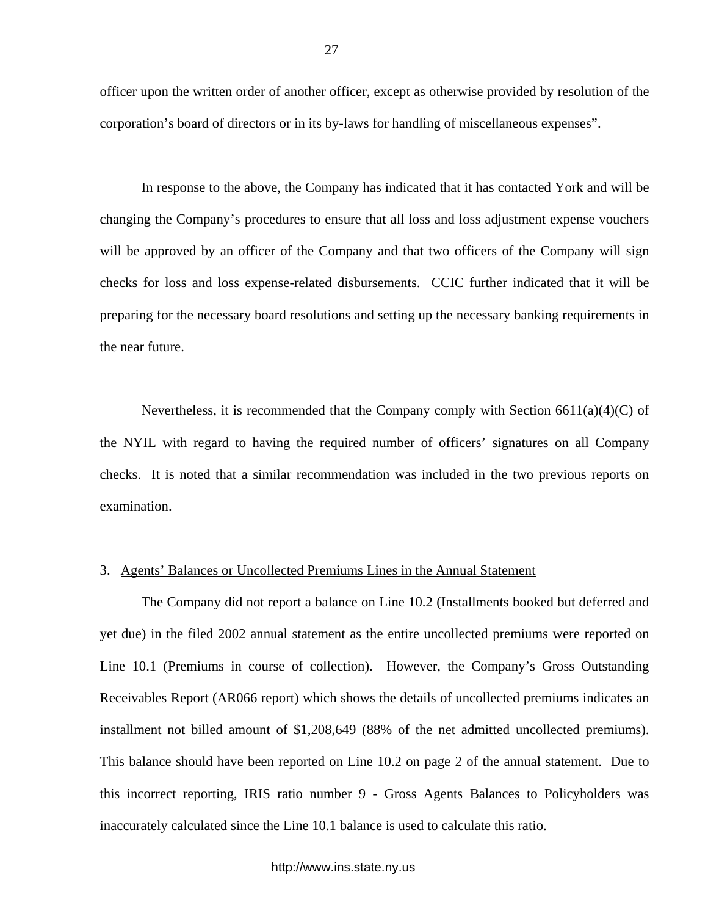officer upon the written order of another officer, except as otherwise provided by resolution of the corporation's board of directors or in its by-laws for handling of miscellaneous expenses".

In response to the above, the Company has indicated that it has contacted York and will be changing the Company's procedures to ensure that all loss and loss adjustment expense vouchers will be approved by an officer of the Company and that two officers of the Company will sign checks for loss and loss expense-related disbursements. CCIC further indicated that it will be preparing for the necessary board resolutions and setting up the necessary banking requirements in the near future.

Nevertheless, it is recommended that the Company comply with Section  $6611(a)(4)(C)$  of the NYIL with regard to having the required number of officers' signatures on all Company checks. It is noted that a similar recommendation was included in the two previous reports on examination.

### 3. Agents' Balances or Uncollected Premiums Lines in the Annual Statement

The Company did not report a balance on Line 10.2 (Installments booked but deferred and yet due) in the filed 2002 annual statement as the entire uncollected premiums were reported on Line 10.1 (Premiums in course of collection). However, the Company's Gross Outstanding Receivables Report (AR066 report) which shows the details of uncollected premiums indicates an installment not billed amount of \$1,208,649 (88% of the net admitted uncollected premiums). This balance should have been reported on Line 10.2 on page 2 of the annual statement. Due to this incorrect reporting, IRIS ratio number 9 - Gross Agents Balances to Policyholders was inaccurately calculated since the Line 10.1 balance is used to calculate this ratio.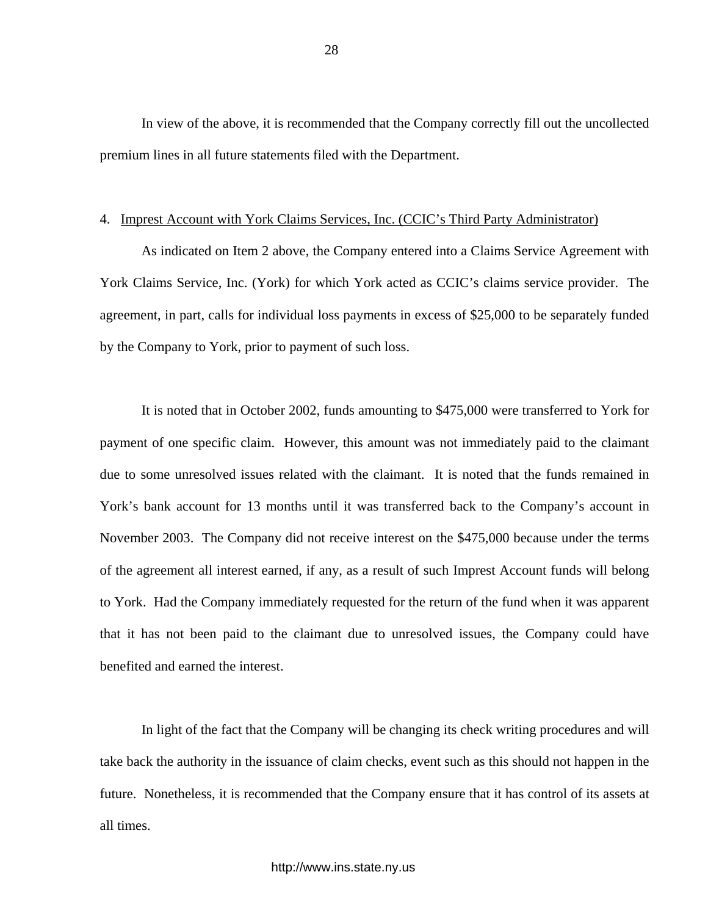In view of the above, it is recommended that the Company correctly fill out the uncollected premium lines in all future statements filed with the Department.

# 4. Imprest Account with York Claims Services, Inc. (CCIC's Third Party Administrator)

As indicated on Item 2 above, the Company entered into a Claims Service Agreement with York Claims Service, Inc. (York) for which York acted as CCIC's claims service provider. The agreement, in part, calls for individual loss payments in excess of \$25,000 to be separately funded by the Company to York, prior to payment of such loss.

It is noted that in October 2002, funds amounting to \$475,000 were transferred to York for payment of one specific claim. However, this amount was not immediately paid to the claimant due to some unresolved issues related with the claimant. It is noted that the funds remained in York's bank account for 13 months until it was transferred back to the Company's account in November 2003. The Company did not receive interest on the \$475,000 because under the terms of the agreement all interest earned, if any, as a result of such Imprest Account funds will belong to York. Had the Company immediately requested for the return of the fund when it was apparent that it has not been paid to the claimant due to unresolved issues, the Company could have benefited and earned the interest.

In light of the fact that the Company will be changing its check writing procedures and will take back the authority in the issuance of claim checks, event such as this should not happen in the future. Nonetheless, it is recommended that the Company ensure that it has control of its assets at all times.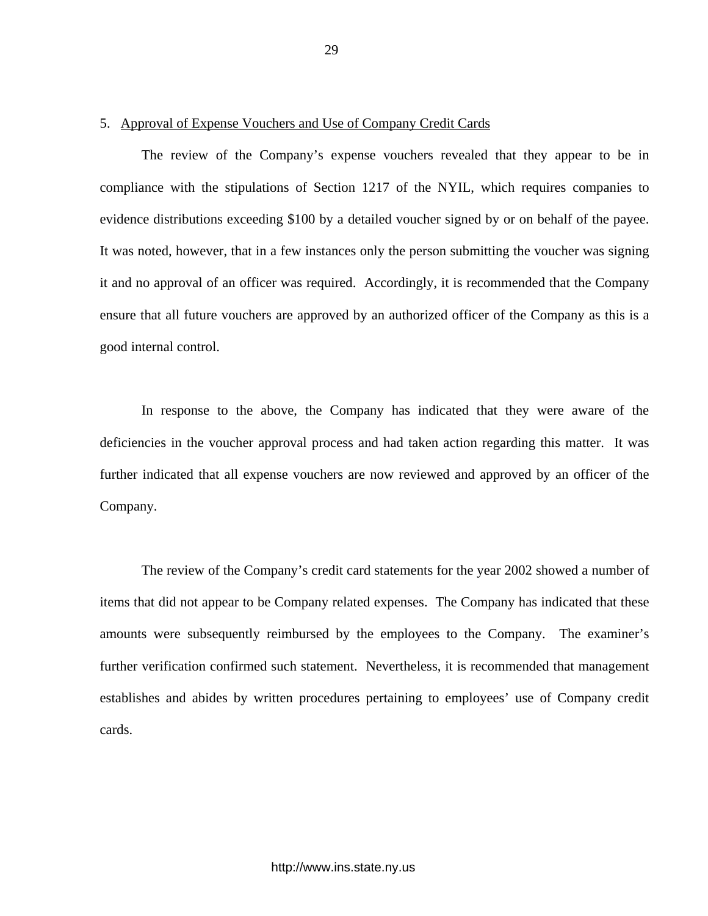### 5. Approval of Expense Vouchers and Use of Company Credit Cards

The review of the Company's expense vouchers revealed that they appear to be in compliance with the stipulations of Section 1217 of the NYIL, which requires companies to evidence distributions exceeding \$100 by a detailed voucher signed by or on behalf of the payee. It was noted, however, that in a few instances only the person submitting the voucher was signing it and no approval of an officer was required. Accordingly, it is recommended that the Company ensure that all future vouchers are approved by an authorized officer of the Company as this is a good internal control.

In response to the above, the Company has indicated that they were aware of the deficiencies in the voucher approval process and had taken action regarding this matter. It was further indicated that all expense vouchers are now reviewed and approved by an officer of the Company.

The review of the Company's credit card statements for the year 2002 showed a number of items that did not appear to be Company related expenses. The Company has indicated that these amounts were subsequently reimbursed by the employees to the Company. The examiner's further verification confirmed such statement. Nevertheless, it is recommended that management establishes and abides by written procedures pertaining to employees' use of Company credit cards.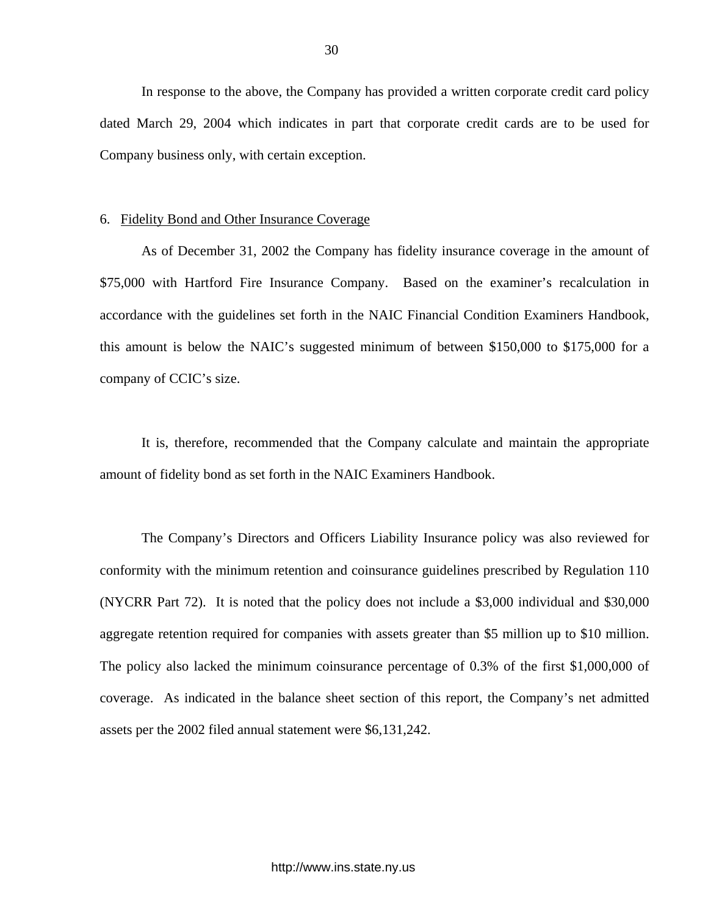In response to the above, the Company has provided a written corporate credit card policy dated March 29, 2004 which indicates in part that corporate credit cards are to be used for Company business only, with certain exception.

#### 6. Fidelity Bond and Other Insurance Coverage

As of December 31, 2002 the Company has fidelity insurance coverage in the amount of \$75,000 with Hartford Fire Insurance Company. Based on the examiner's recalculation in accordance with the guidelines set forth in the NAIC Financial Condition Examiners Handbook, this amount is below the NAIC's suggested minimum of between \$150,000 to \$175,000 for a company of CCIC's size.

It is, therefore, recommended that the Company calculate and maintain the appropriate amount of fidelity bond as set forth in the NAIC Examiners Handbook.

The Company's Directors and Officers Liability Insurance policy was also reviewed for conformity with the minimum retention and coinsurance guidelines prescribed by Regulation 110 (NYCRR Part 72). It is noted that the policy does not include a \$3,000 individual and \$30,000 aggregate retention required for companies with assets greater than \$5 million up to \$10 million. The policy also lacked the minimum coinsurance percentage of 0.3% of the first \$1,000,000 of coverage. As indicated in the balance sheet section of this report, the Company's net admitted assets per the 2002 filed annual statement were \$6,131,242.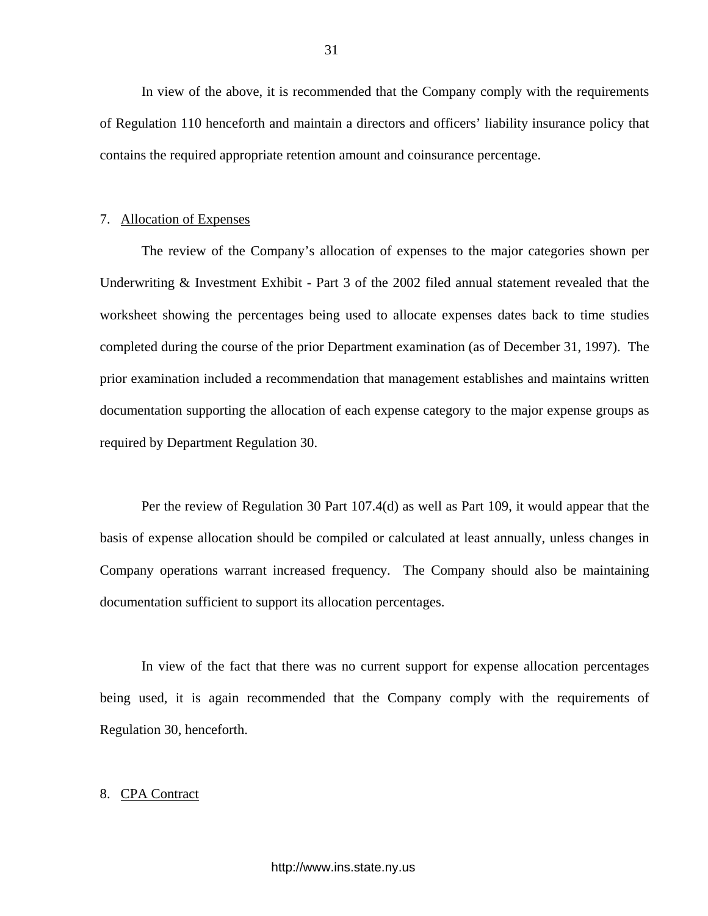In view of the above, it is recommended that the Company comply with the requirements of Regulation 110 henceforth and maintain a directors and officers' liability insurance policy that contains the required appropriate retention amount and coinsurance percentage.

#### 7. Allocation of Expenses

The review of the Company's allocation of expenses to the major categories shown per Underwriting & Investment Exhibit - Part 3 of the 2002 filed annual statement revealed that the worksheet showing the percentages being used to allocate expenses dates back to time studies completed during the course of the prior Department examination (as of December 31, 1997). The prior examination included a recommendation that management establishes and maintains written documentation supporting the allocation of each expense category to the major expense groups as required by Department Regulation 30.

Per the review of Regulation 30 Part 107.4(d) as well as Part 109, it would appear that the basis of expense allocation should be compiled or calculated at least annually, unless changes in Company operations warrant increased frequency. The Company should also be maintaining documentation sufficient to support its allocation percentages.

In view of the fact that there was no current support for expense allocation percentages being used, it is again recommended that the Company comply with the requirements of Regulation 30, henceforth.

#### 8. CPA Contract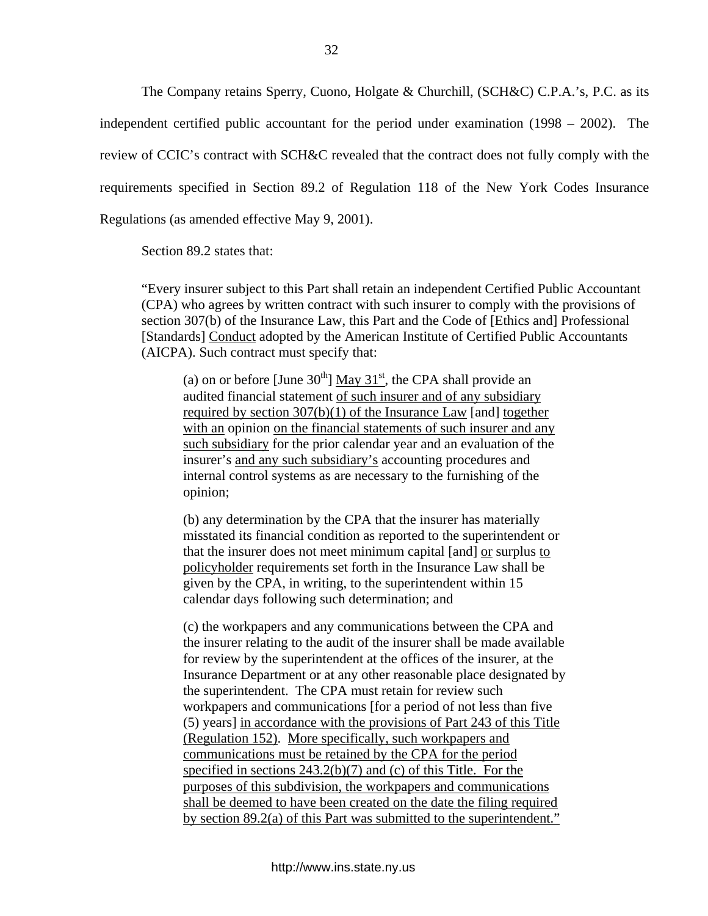The Company retains Sperry, Cuono, Holgate & Churchill, (SCH&C) C.P.A.'s, P.C. as its independent certified public accountant for the period under examination (1998 – 2002). The review of CCIC's contract with SCH&C revealed that the contract does not fully comply with the requirements specified in Section 89.2 of Regulation 118 of the New York Codes Insurance Regulations (as amended effective May 9, 2001).

Section 89.2 states that:

"Every insurer subject to this Part shall retain an independent Certified Public Accountant (CPA) who agrees by written contract with such insurer to comply with the provisions of section 307(b) of the Insurance Law, this Part and the Code of [Ethics and] Professional [Standards] Conduct adopted by the American Institute of Certified Public Accountants (AICPA). Such contract must specify that:

(a) on or before [June  $30<sup>th</sup>$ ] May  $31<sup>st</sup>$ , the CPA shall provide an audited financial statement of such insurer and of any subsidiary required by section 307(b)(1) of the Insurance Law [and] together with an opinion on the financial statements of such insurer and any such subsidiary for the prior calendar year and an evaluation of the insurer's and any such subsidiary's accounting procedures and internal control systems as are necessary to the furnishing of the opinion;

(b) any determination by the CPA that the insurer has materially misstated its financial condition as reported to the superintendent or that the insurer does not meet minimum capital [and] or surplus to policyholder requirements set forth in the Insurance Law shall be given by the CPA, in writing, to the superintendent within 15 calendar days following such determination; and

(c) the workpapers and any communications between the CPA and the insurer relating to the audit of the insurer shall be made available for review by the superintendent at the offices of the insurer, at the Insurance Department or at any other reasonable place designated by the superintendent. The CPA must retain for review such workpapers and communications [for a period of not less than five (5) years] in accordance with the provisions of Part 243 of this Title (Regulation 152). More specifically, such workpapers and communications must be retained by the CPA for the period specified in sections 243.2(b)(7) and (c) of this Title. For the purposes of this subdivision, the workpapers and communications shall be deemed to have been created on the date the filing required by section 89.2(a) of this Part was submitted to the superintendent."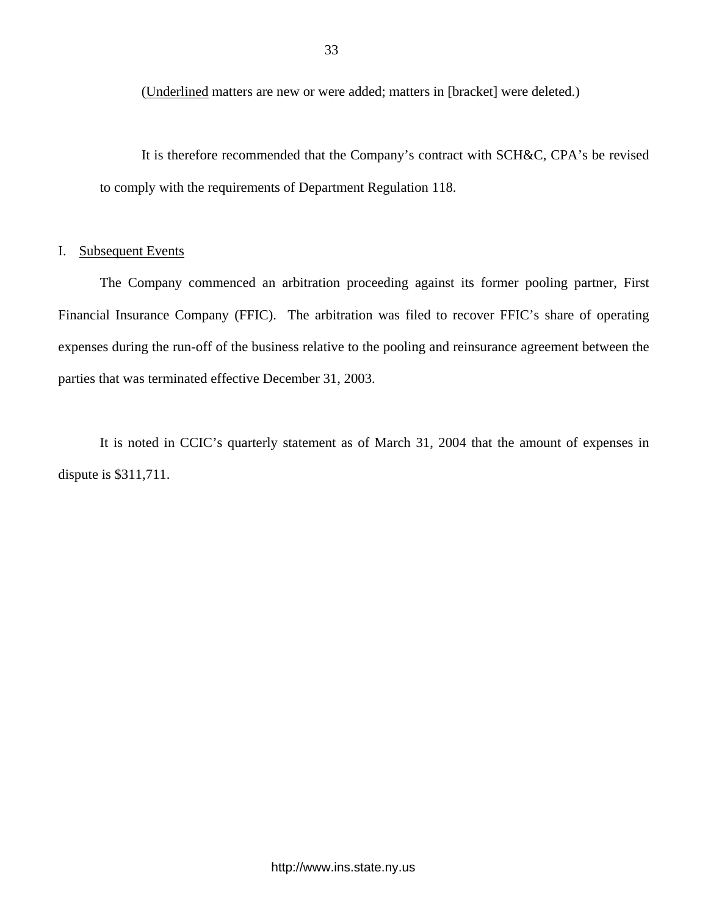(Underlined matters are new or were added; matters in [bracket] were deleted.)

It is therefore recommended that the Company's contract with SCH&C, CPA's be revised to comply with the requirements of Department Regulation 118.

# I. Subsequent Events

The Company commenced an arbitration proceeding against its former pooling partner, First Financial Insurance Company (FFIC). The arbitration was filed to recover FFIC's share of operating expenses during the run-off of the business relative to the pooling and reinsurance agreement between the parties that was terminated effective December 31, 2003.

It is noted in CCIC's quarterly statement as of March 31, 2004 that the amount of expenses in dispute is \$311,711.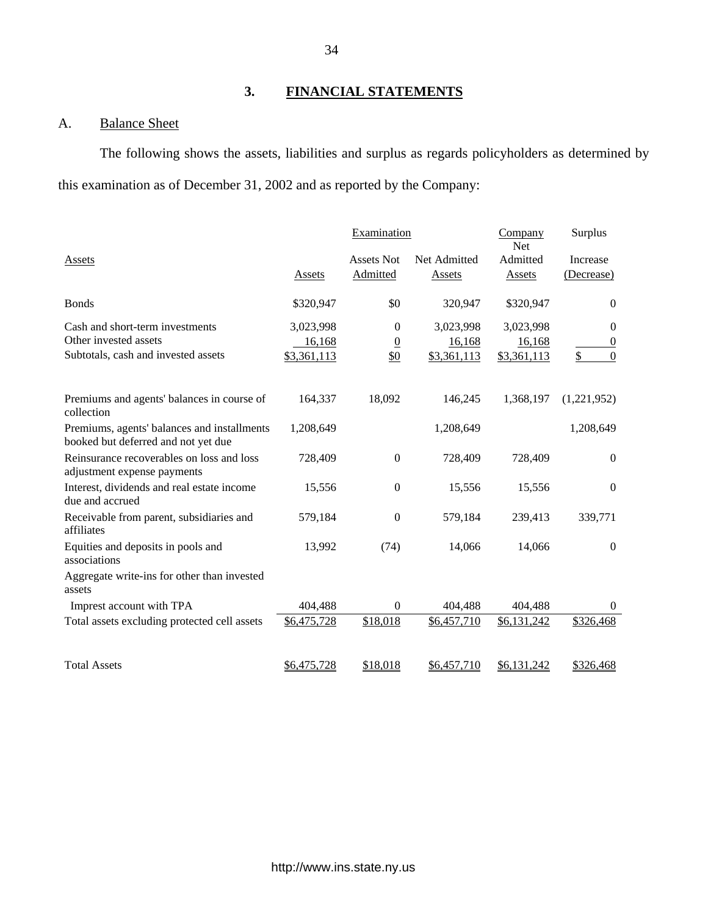# **3. FINANCIAL STATEMENTS**

# A. Balance Sheet

The following shows the assets, liabilities and surplus as regards policyholders as determined by this examination as of December 31, 2002 and as reported by the Company:

|                                                                                    |                     | Examination                      |                     | Company<br><b>Net</b> | Surplus                      |
|------------------------------------------------------------------------------------|---------------------|----------------------------------|---------------------|-----------------------|------------------------------|
| Assets                                                                             |                     | <b>Assets Not</b>                | Net Admitted        | Admitted              | Increase                     |
|                                                                                    | Assets              | Admitted                         | <b>Assets</b>       | <b>Assets</b>         | (Decrease)                   |
| <b>Bonds</b>                                                                       | \$320,947           | \$0                              | 320,947             | \$320,947             | $\theta$                     |
| Cash and short-term investments<br>Other invested assets                           | 3,023,998<br>16,168 | $\overline{0}$<br>$\overline{0}$ | 3,023,998<br>16,168 | 3,023,998<br>16,168   | $\theta$<br>$\boldsymbol{0}$ |
| Subtotals, cash and invested assets                                                | \$3,361,113         | \$0                              | \$3,361,113         | \$3,361,113           | \$<br>$\mathbf{0}$           |
| Premiums and agents' balances in course of<br>collection                           | 164,337             | 18,092                           | 146,245             | 1,368,197             | (1,221,952)                  |
| Premiums, agents' balances and installments<br>booked but deferred and not yet due | 1,208,649           |                                  | 1,208,649           |                       | 1,208,649                    |
| Reinsurance recoverables on loss and loss<br>adjustment expense payments           | 728,409             | $\theta$                         | 728,409             | 728,409               | $\theta$                     |
| Interest, dividends and real estate income<br>due and accrued                      | 15,556              | $\boldsymbol{0}$                 | 15,556              | 15,556                | $\boldsymbol{0}$             |
| Receivable from parent, subsidiaries and<br>affiliates                             | 579,184             | $\theta$                         | 579,184             | 239,413               | 339,771                      |
| Equities and deposits in pools and<br>associations                                 | 13,992              | (74)                             | 14,066              | 14,066                | $\overline{0}$               |
| Aggregate write-ins for other than invested<br>assets                              |                     |                                  |                     |                       |                              |
| Imprest account with TPA                                                           | 404,488             | $\theta$                         | 404,488             | 404,488               | $\theta$                     |
| Total assets excluding protected cell assets                                       | \$6,475,728         | \$18,018                         | \$6,457,710         | \$6,131,242           | \$326,468                    |
| <b>Total Assets</b>                                                                | \$6,475,728         | \$18,018                         | \$6,457,710         | \$6,131,242           | \$326,468                    |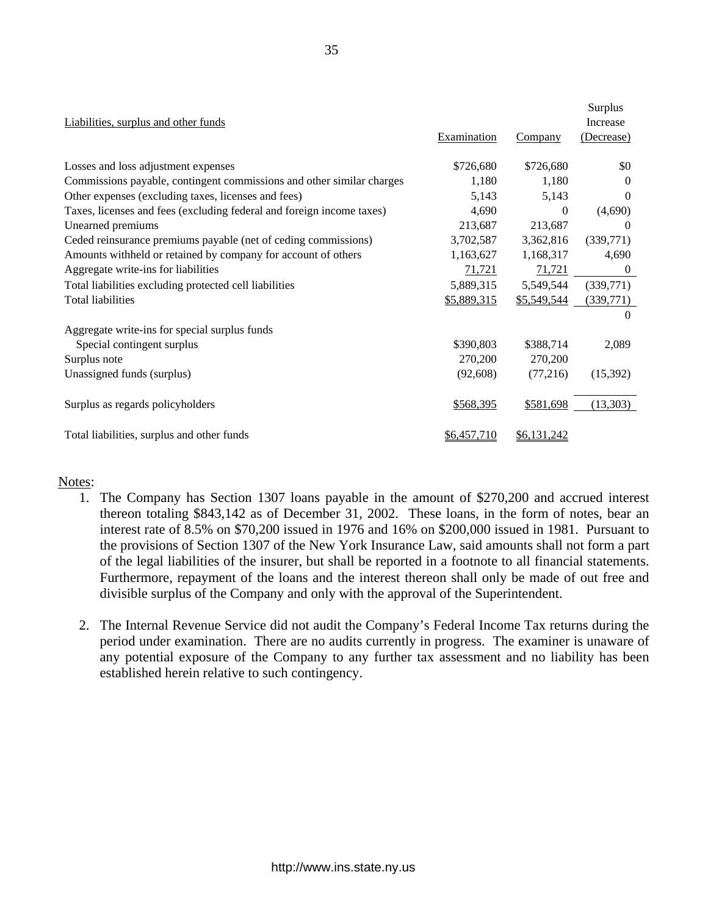| Liabilities, surplus and other funds                                  | Examination | <b>Company</b> | Surplus<br><b>Increase</b><br>(Decrease) |
|-----------------------------------------------------------------------|-------------|----------------|------------------------------------------|
| Losses and loss adjustment expenses                                   | \$726,680   | \$726,680      | \$0                                      |
| Commissions payable, contingent commissions and other similar charges | 1,180       | 1,180          | $\Omega$                                 |
| Other expenses (excluding taxes, licenses and fees)                   | 5,143       | 5,143          | $\theta$                                 |
| Taxes, licenses and fees (excluding federal and foreign income taxes) | 4,690       | $\Omega$       | (4,690)                                  |
| Unearned premiums                                                     | 213,687     | 213,687        | 0                                        |
| Ceded reinsurance premiums payable (net of ceding commissions)        | 3,702,587   | 3,362,816      | (339,771)                                |
| Amounts withheld or retained by company for account of others         | 1,163,627   | 1,168,317      | 4,690                                    |
| Aggregate write-ins for liabilities                                   | 71,721      | 71,721         | $\theta$                                 |
| Total liabilities excluding protected cell liabilities                | 5,889,315   | 5,549,544      | (339,771)                                |
| <b>Total liabilities</b>                                              | \$5,889,315 | \$5,549,544    | (339,771)                                |
|                                                                       |             |                | $\Omega$                                 |
| Aggregate write-ins for special surplus funds                         |             |                |                                          |
| Special contingent surplus                                            | \$390,803   | \$388,714      | 2,089                                    |
| Surplus note                                                          | 270,200     | 270,200        |                                          |
| Unassigned funds (surplus)                                            | (92,608)    | (77,216)       | (15,392)                                 |
|                                                                       |             |                |                                          |
| Surplus as regards policyholders                                      | \$568,395   | \$581,698      | (13,303)                                 |
|                                                                       |             |                |                                          |
| Total liabilities, surplus and other funds                            | \$6,457,710 | \$6,131,242    |                                          |

# Notes:

- 1. The Company has Section 1307 loans payable in the amount of \$270,200 and accrued interest thereon totaling \$843,142 as of December 31, 2002. These loans, in the form of notes, bear an interest rate of 8.5% on \$70,200 issued in 1976 and 16% on \$200,000 issued in 1981. Pursuant to the provisions of Section 1307 of the New York Insurance Law, said amounts shall not form a part of the legal liabilities of the insurer, but shall be reported in a footnote to all financial statements. Furthermore, repayment of the loans and the interest thereon shall only be made of out free and divisible surplus of the Company and only with the approval of the Superintendent.
- 2. The Internal Revenue Service did not audit the Company's Federal Income Tax returns during the period under examination. There are no audits currently in progress. The examiner is unaware of any potential exposure of the Company to any further tax assessment and no liability has been established herein relative to such contingency.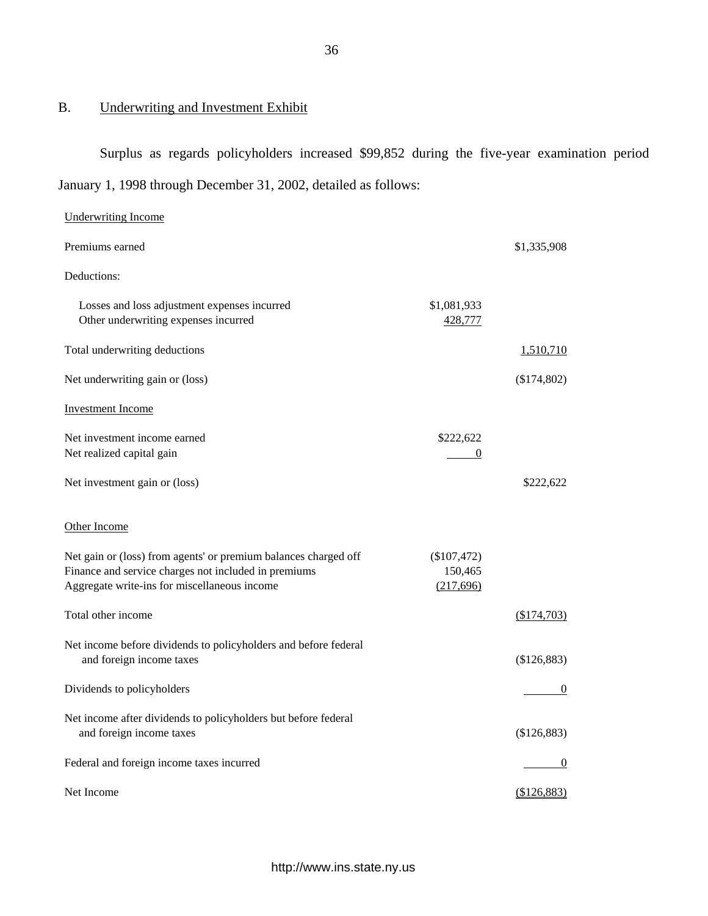# B. Underwriting and Investment Exhibit

Surplus as regards policyholders increased \$99,852 during the five-year examination period January 1, 1998 through December 31, 2002, detailed as follows:

| <b>Underwriting Income</b>                                                                                                                                              |                                         |                  |
|-------------------------------------------------------------------------------------------------------------------------------------------------------------------------|-----------------------------------------|------------------|
| Premiums earned                                                                                                                                                         |                                         | \$1,335,908      |
| Deductions:                                                                                                                                                             |                                         |                  |
| Losses and loss adjustment expenses incurred<br>Other underwriting expenses incurred                                                                                    | \$1,081,933<br>428,777                  |                  |
| Total underwriting deductions                                                                                                                                           |                                         | <u>1,510,710</u> |
| Net underwriting gain or (loss)                                                                                                                                         |                                         | (\$174,802)      |
| <b>Investment Income</b>                                                                                                                                                |                                         |                  |
| Net investment income earned<br>Net realized capital gain                                                                                                               | \$222,622<br>$\equiv$<br>$\overline{0}$ |                  |
| Net investment gain or (loss)                                                                                                                                           |                                         | \$222,622        |
| Other Income                                                                                                                                                            |                                         |                  |
| Net gain or (loss) from agents' or premium balances charged off<br>Finance and service charges not included in premiums<br>Aggregate write-ins for miscellaneous income | $(\$107,472)$<br>150,465<br>(217,696)   |                  |
| Total other income                                                                                                                                                      |                                         | (\$174,703)      |
| Net income before dividends to policyholders and before federal<br>and foreign income taxes                                                                             |                                         | (\$126,883)      |
| Dividends to policyholders                                                                                                                                              |                                         | $\theta$         |
| Net income after dividends to policyholders but before federal<br>and foreign income taxes                                                                              |                                         | (\$126,883)      |
| Federal and foreign income taxes incurred                                                                                                                               |                                         | $\theta$         |
| Net Income                                                                                                                                                              |                                         | (\$126,883)      |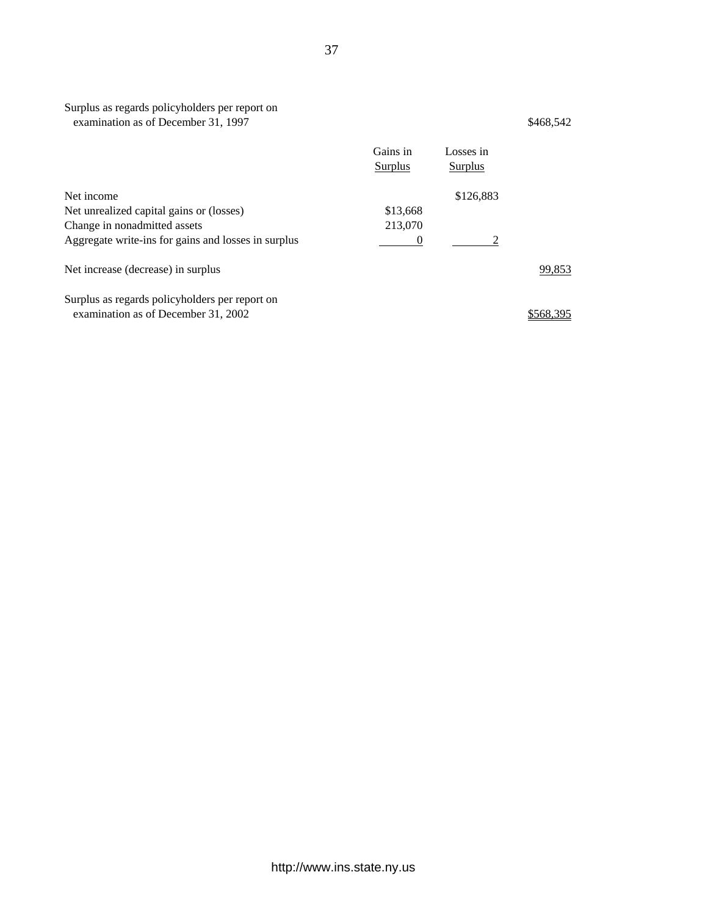| Surplus as regards policyholders per report on<br>examination as of December 31, 1997 |                     |                      | \$468,542 |
|---------------------------------------------------------------------------------------|---------------------|----------------------|-----------|
|                                                                                       | Gains in<br>Surplus | Losses in<br>Surplus |           |
| Net income                                                                            |                     | \$126,883            |           |
| Net unrealized capital gains or (losses)                                              | \$13,668            |                      |           |
| Change in nonadmitted assets                                                          | 213,070             |                      |           |
| Aggregate write-ins for gains and losses in surplus                                   | $\theta$            |                      |           |
| Net increase (decrease) in surplus                                                    |                     |                      | 99,853    |
| Surplus as regards policyholders per report on                                        |                     |                      |           |
| examination as of December 31, 2002                                                   |                     |                      | \$568,395 |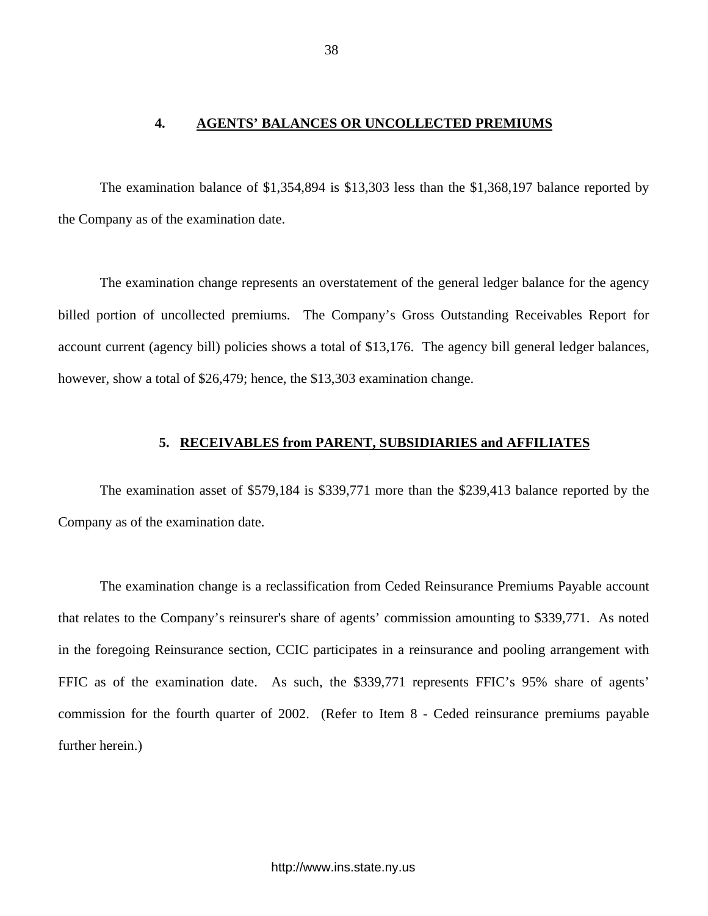# **4. AGENTS' BALANCES OR UNCOLLECTED PREMIUMS**

<span id="page-39-0"></span>The examination balance of \$1,354,894 is \$13,303 less than the \$1,368,197 balance reported by the Company as of the examination date.

The examination change represents an overstatement of the general ledger balance for the agency billed portion of uncollected premiums. The Company's Gross Outstanding Receivables Report for account current (agency bill) policies shows a total of \$13,176. The agency bill general ledger balances, however, show a total of \$26,479; hence, the \$13,303 examination change.

### **5. RECEIVABLES from PARENT, SUBSIDIARIES and AFFILIATES**

The examination asset of \$579,184 is \$339,771 more than the \$239,413 balance reported by the Company as of the examination date.

The examination change is a reclassification from Ceded Reinsurance Premiums Payable account that relates to the Company's reinsurer's share of agents' commission amounting to \$339,771. As noted in the foregoing Reinsurance section, CCIC participates in a reinsurance and pooling arrangement with FFIC as of the examination date. As such, the \$339,771 represents FFIC's 95% share of agents' commission for the fourth quarter of 2002. (Refer to Item 8 - Ceded reinsurance premiums payable further herein.)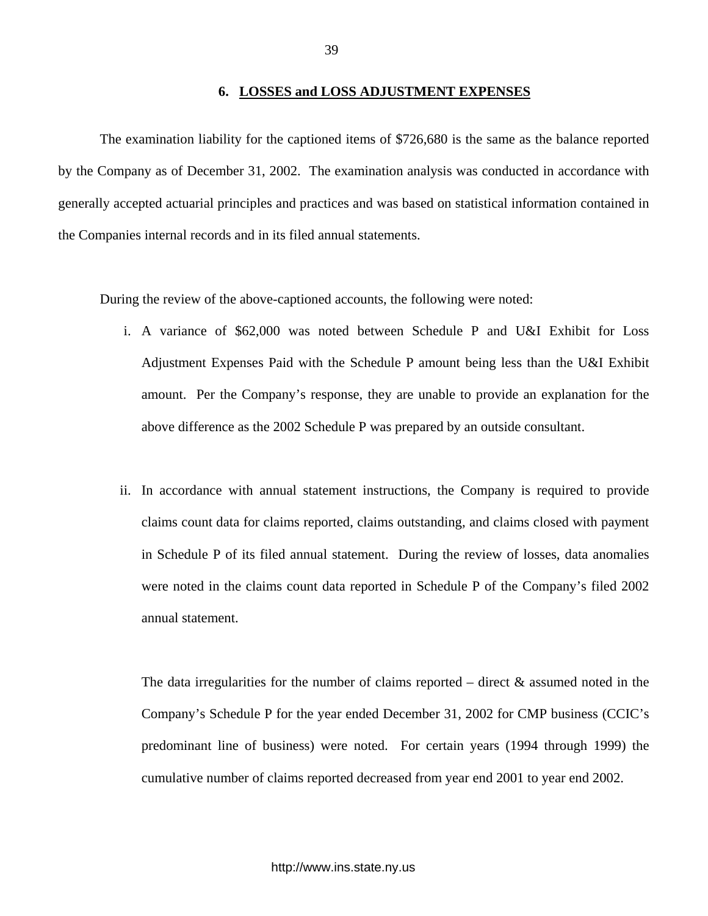#### **6. LOSSES and LOSS ADJUSTMENT EXPENSES**

<span id="page-40-0"></span>The examination liability for the captioned items of \$726,680 is the same as the balance reported by the Company as of December 31, 2002. The examination analysis was conducted in accordance with generally accepted actuarial principles and practices and was based on statistical information contained in the Companies internal records and in its filed annual statements.

During the review of the above-captioned accounts, the following were noted:

- i. A variance of \$62,000 was noted between Schedule P and U&I Exhibit for Loss Adjustment Expenses Paid with the Schedule P amount being less than the U&I Exhibit amount. Per the Company's response, they are unable to provide an explanation for the above difference as the 2002 Schedule P was prepared by an outside consultant.
- ii. In accordance with annual statement instructions, the Company is required to provide claims count data for claims reported, claims outstanding, and claims closed with payment in Schedule P of its filed annual statement. During the review of losses, data anomalies were noted in the claims count data reported in Schedule P of the Company's filed 2002 annual statement.

The data irregularities for the number of claims reported – direct  $\&$  assumed noted in the Company's Schedule P for the year ended December 31, 2002 for CMP business (CCIC's predominant line of business) were noted. For certain years (1994 through 1999) the cumulative number of claims reported decreased from year end 2001 to year end 2002.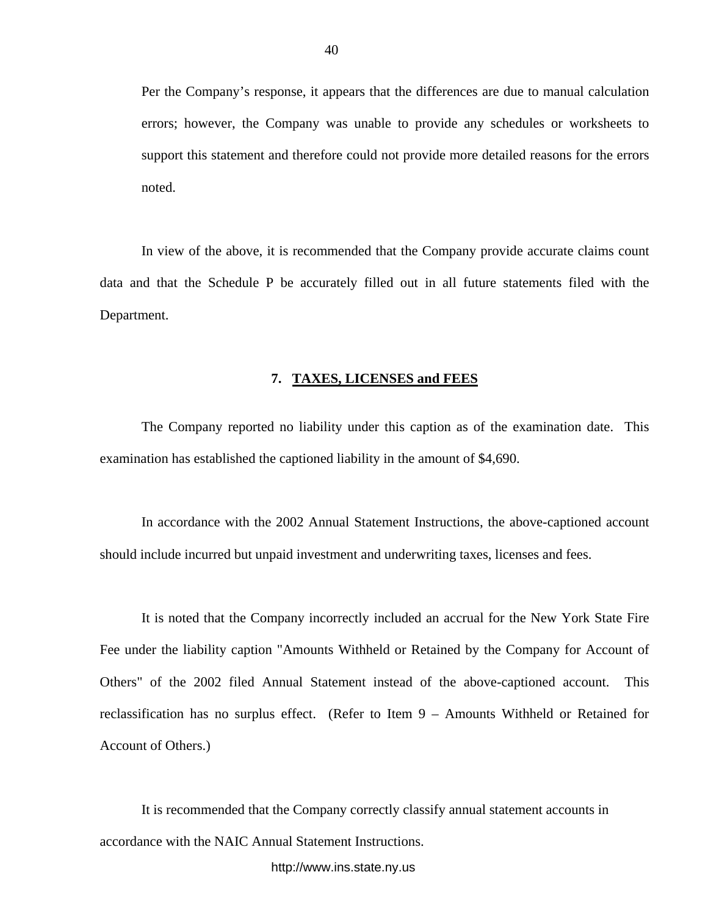<span id="page-41-0"></span>Per the Company's response, it appears that the differences are due to manual calculation errors; however, the Company was unable to provide any schedules or worksheets to support this statement and therefore could not provide more detailed reasons for the errors noted.

In view of the above, it is recommended that the Company provide accurate claims count data and that the Schedule P be accurately filled out in all future statements filed with the Department.

#### **7. TAXES, LICENSES and FEES**

The Company reported no liability under this caption as of the examination date. This examination has established the captioned liability in the amount of \$4,690.

In accordance with the 2002 Annual Statement Instructions, the above-captioned account should include incurred but unpaid investment and underwriting taxes, licenses and fees.

It is noted that the Company incorrectly included an accrual for the New York State Fire Fee under the liability caption "Amounts Withheld or Retained by the Company for Account of Others" of the 2002 filed Annual Statement instead of the above-captioned account. This reclassification has no surplus effect. (Refer to Item 9 – Amounts Withheld or Retained for Account of Others.)

It is recommended that the Company correctly classify annual statement accounts in accordance with the NAIC Annual Statement Instructions.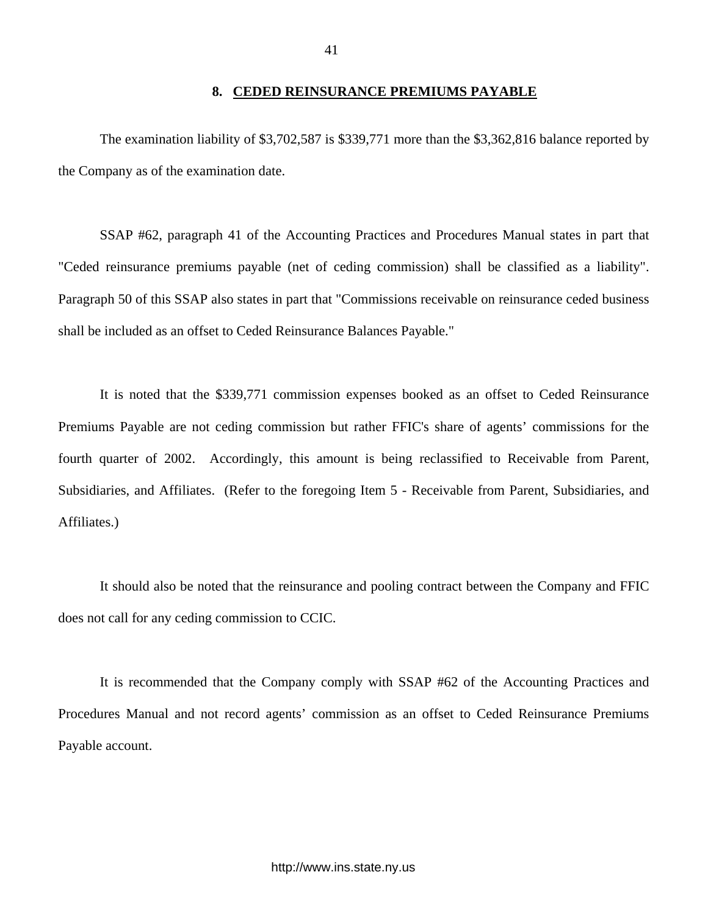### **8. CEDED REINSURANCE PREMIUMS PAYABLE**

<span id="page-42-0"></span>The examination liability of \$3,702,587 is \$339,771 more than the \$3,362,816 balance reported by the Company as of the examination date.

SSAP #62, paragraph 41 of the Accounting Practices and Procedures Manual states in part that "Ceded reinsurance premiums payable (net of ceding commission) shall be classified as a liability". Paragraph 50 of this SSAP also states in part that "Commissions receivable on reinsurance ceded business shall be included as an offset to Ceded Reinsurance Balances Payable."

It is noted that the \$339,771 commission expenses booked as an offset to Ceded Reinsurance Premiums Payable are not ceding commission but rather FFIC's share of agents' commissions for the fourth quarter of 2002. Accordingly, this amount is being reclassified to Receivable from Parent, Subsidiaries, and Affiliates. (Refer to the foregoing Item 5 - Receivable from Parent, Subsidiaries, and Affiliates.)

It should also be noted that the reinsurance and pooling contract between the Company and FFIC does not call for any ceding commission to CCIC.

It is recommended that the Company comply with SSAP #62 of the Accounting Practices and Procedures Manual and not record agents' commission as an offset to Ceded Reinsurance Premiums Payable account.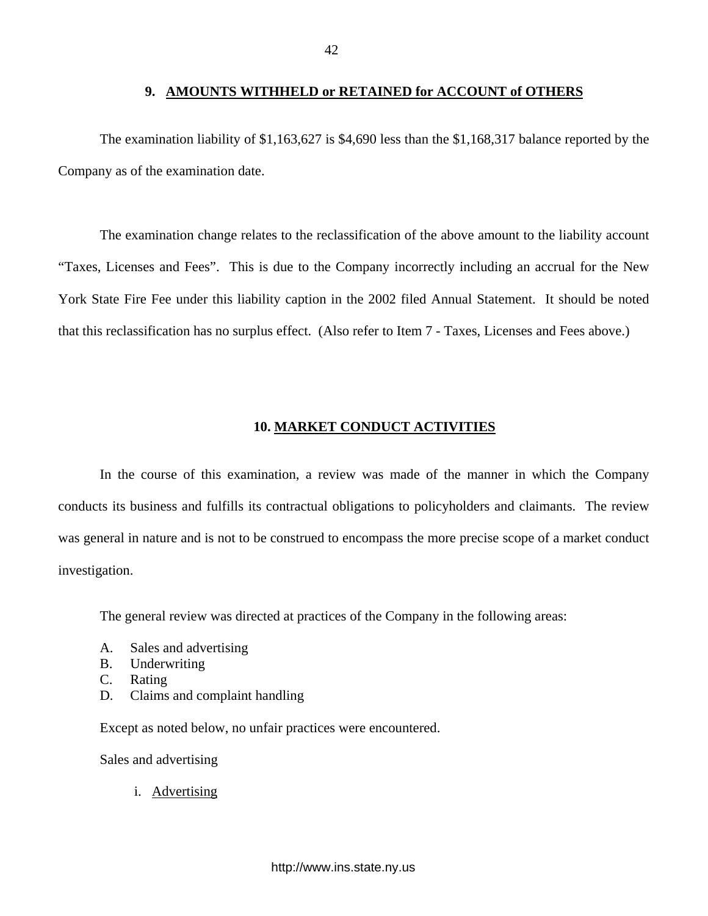#### **9. AMOUNTS WITHHELD or RETAINED for ACCOUNT of OTHERS**

<span id="page-43-0"></span>The examination liability of \$1,163,627 is \$4,690 less than the \$1,168,317 balance reported by the Company as of the examination date.

The examination change relates to the reclassification of the above amount to the liability account "Taxes, Licenses and Fees". This is due to the Company incorrectly including an accrual for the New York State Fire Fee under this liability caption in the 2002 filed Annual Statement. It should be noted that this reclassification has no surplus effect. (Also refer to Item 7 - Taxes, Licenses and Fees above.)

# **10. MARKET CONDUCT ACTIVITIES**

In the course of this examination, a review was made of the manner in which the Company conducts its business and fulfills its contractual obligations to policyholders and claimants. The review was general in nature and is not to be construed to encompass the more precise scope of a market conduct investigation.

The general review was directed at practices of the Company in the following areas:

- A. Sales and advertising
- B. Underwriting
- C. Rating
- D. Claims and complaint handling

Except as noted below, no unfair practices were encountered.

Sales and advertising

i. Advertising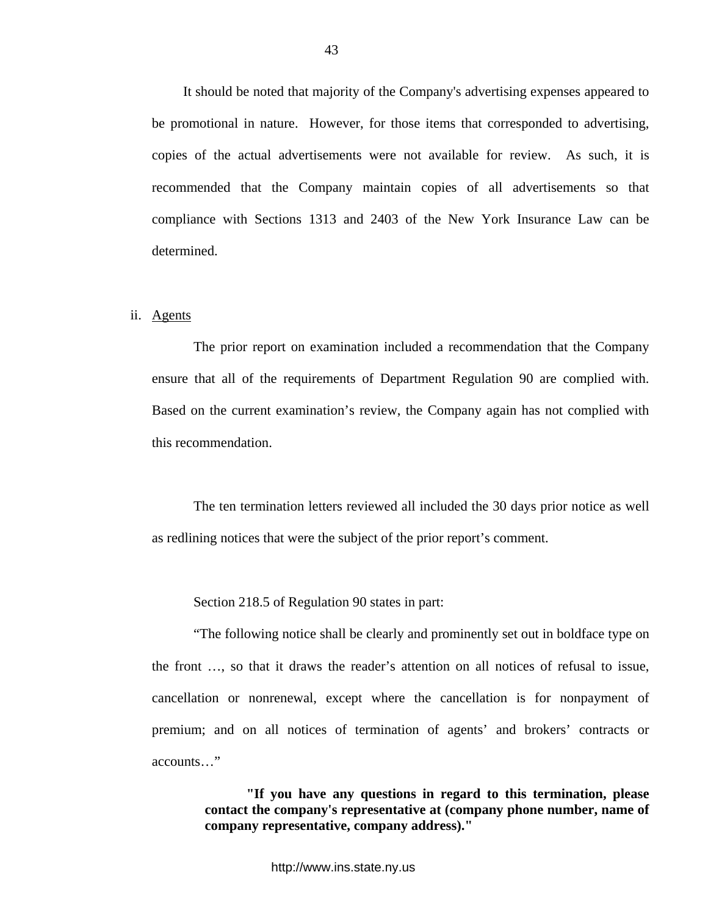It should be noted that majority of the Company's advertising expenses appeared to be promotional in nature. However, for those items that corresponded to advertising, copies of the actual advertisements were not available for review. As such, it is recommended that the Company maintain copies of all advertisements so that compliance with Sections 1313 and 2403 of the New York Insurance Law can be determined.

#### ii. Agents

The prior report on examination included a recommendation that the Company ensure that all of the requirements of Department Regulation 90 are complied with. Based on the current examination's review, the Company again has not complied with this recommendation.

The ten termination letters reviewed all included the 30 days prior notice as well as redlining notices that were the subject of the prior report's comment.

Section 218.5 of Regulation 90 states in part:

"The following notice shall be clearly and prominently set out in boldface type on the front …, so that it draws the reader's attention on all notices of refusal to issue, cancellation or nonrenewal, except where the cancellation is for nonpayment of premium; and on all notices of termination of agents' and brokers' contracts or accounts…"

> **"If you have any questions in regard to this termination, please contact the company's representative at (company phone number, name of company representative, company address)."**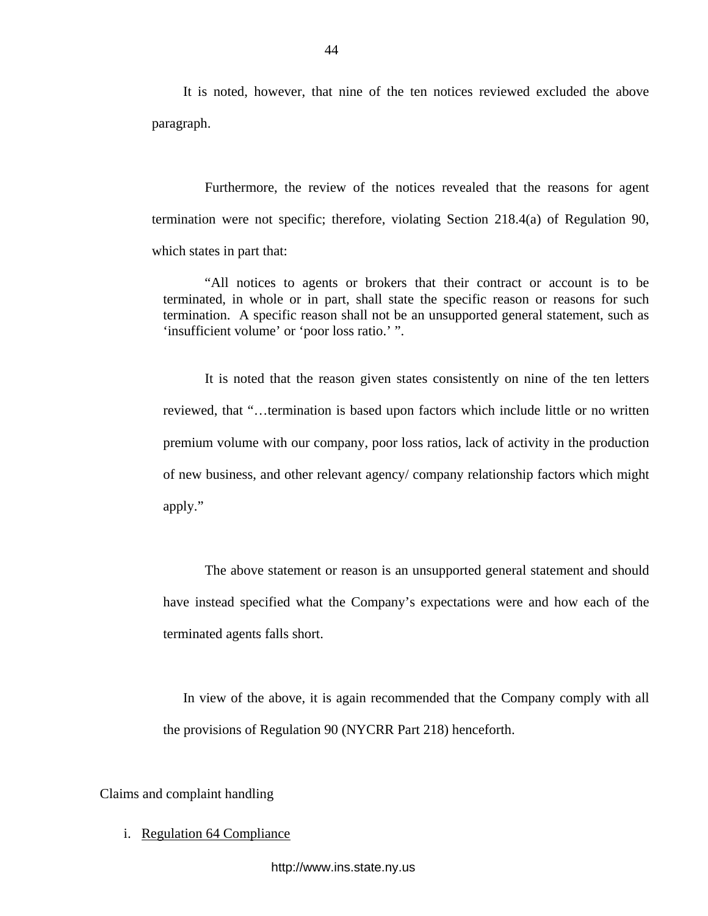It is noted, however, that nine of the ten notices reviewed excluded the above paragraph.

Furthermore, the review of the notices revealed that the reasons for agent termination were not specific; therefore, violating Section 218.4(a) of Regulation 90, which states in part that:

"All notices to agents or brokers that their contract or account is to be terminated, in whole or in part, shall state the specific reason or reasons for such termination. A specific reason shall not be an unsupported general statement, such as 'insufficient volume' or 'poor loss ratio.' ".

It is noted that the reason given states consistently on nine of the ten letters reviewed, that "…termination is based upon factors which include little or no written premium volume with our company, poor loss ratios, lack of activity in the production of new business, and other relevant agency/ company relationship factors which might apply."

The above statement or reason is an unsupported general statement and should have instead specified what the Company's expectations were and how each of the terminated agents falls short.

In view of the above, it is again recommended that the Company comply with all the provisions of Regulation 90 (NYCRR Part 218) henceforth.

Claims and complaint handling

i. Regulation 64 Compliance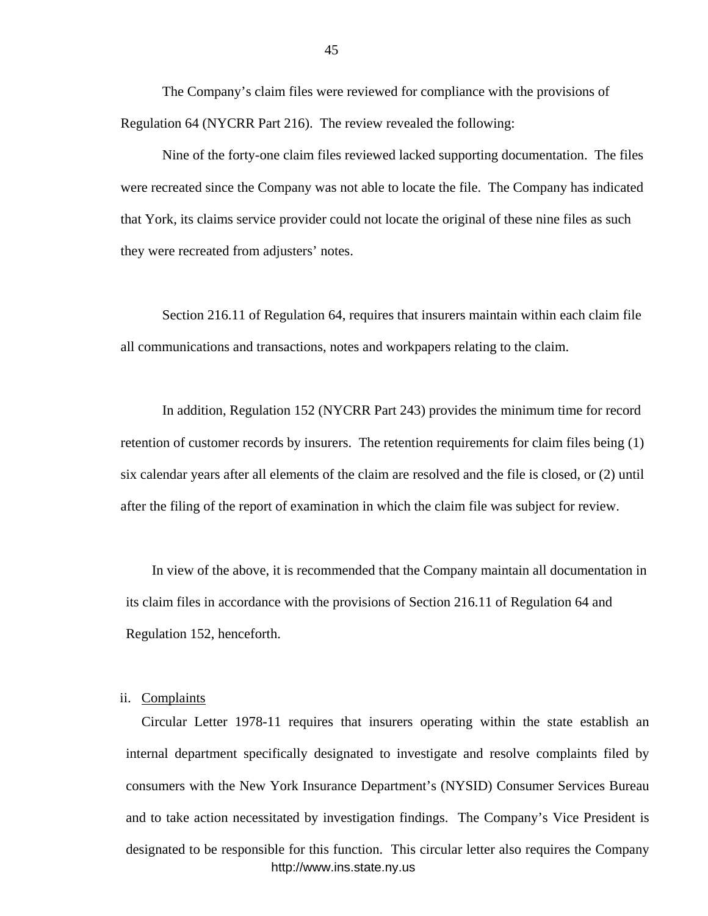The Company's claim files were reviewed for compliance with the provisions of Regulation 64 (NYCRR Part 216). The review revealed the following:

Nine of the forty-one claim files reviewed lacked supporting documentation. The files were recreated since the Company was not able to locate the file. The Company has indicated that York, its claims service provider could not locate the original of these nine files as such they were recreated from adjusters' notes.

Section 216.11 of Regulation 64, requires that insurers maintain within each claim file all communications and transactions, notes and workpapers relating to the claim.

In addition, Regulation 152 (NYCRR Part 243) provides the minimum time for record retention of customer records by insurers. The retention requirements for claim files being (1) six calendar years after all elements of the claim are resolved and the file is closed, or (2) until after the filing of the report of examination in which the claim file was subject for review.

In view of the above, it is recommended that the Company maintain all documentation in its claim files in accordance with the provisions of Section 216.11 of Regulation 64 and Regulation 152, henceforth.

### ii. Complaints

Circular Letter 1978-11 requires that insurers operating within the state establish an internal department specifically designated to investigate and resolve complaints filed by consumers with the New York Insurance Department's (NYSID) Consumer Services Bureau and to take action necessitated by investigation findings. The Company's Vice President is designated to be responsible for this function. This circular letter also requires the Company <http://www.ins.state.ny.us>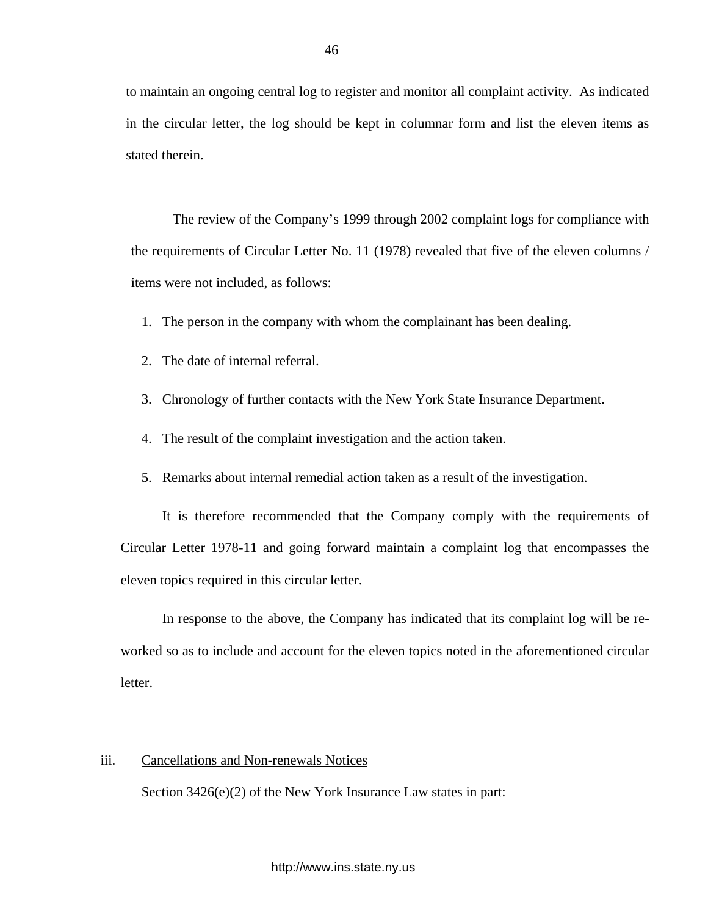to maintain an ongoing central log to register and monitor all complaint activity. As indicated in the circular letter, the log should be kept in columnar form and list the eleven items as stated therein.

The review of the Company's 1999 through 2002 complaint logs for compliance with the requirements of Circular Letter No. 11 (1978) revealed that five of the eleven columns / items were not included, as follows:

- 1. The person in the company with whom the complainant has been dealing.
- 2. The date of internal referral.
- 3. Chronology of further contacts with the New York State Insurance Department.
- 4. The result of the complaint investigation and the action taken.
- 5. Remarks about internal remedial action taken as a result of the investigation.

It is therefore recommended that the Company comply with the requirements of Circular Letter 1978-11 and going forward maintain a complaint log that encompasses the eleven topics required in this circular letter.

In response to the above, the Company has indicated that its complaint log will be reworked so as to include and account for the eleven topics noted in the aforementioned circular letter.

# iii. Cancellations and Non-renewals Notices

Section 3426(e)(2) of the New York Insurance Law states in part: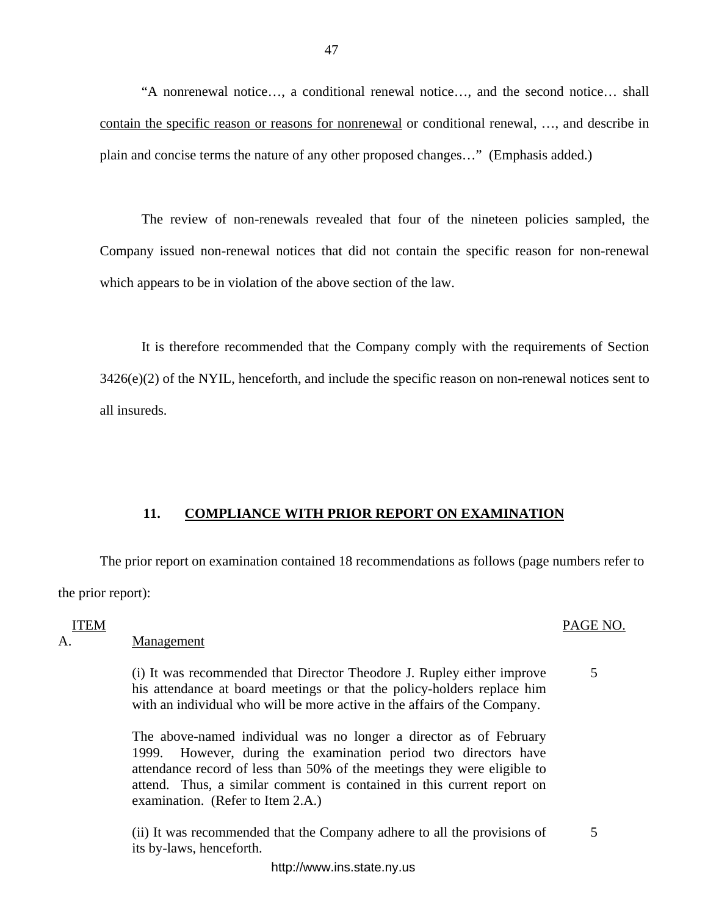"A nonrenewal notice…, a conditional renewal notice…, and the second notice… shall contain the specific reason or reasons for nonrenewal or conditional renewal, …, and describe in plain and concise terms the nature of any other proposed changes…" (Emphasis added.)

The review of non-renewals revealed that four of the nineteen policies sampled, the Company issued non-renewal notices that did not contain the specific reason for non-renewal which appears to be in violation of the above section of the law.

It is therefore recommended that the Company comply with the requirements of Section  $3426(e)(2)$  of the NYIL, henceforth, and include the specific reason on non-renewal notices sent to all insureds.

# **11. COMPLIANCE WITH PRIOR REPORT ON EXAMINATION**

The prior report on examination contained 18 recommendations as follows (page numbers refer to the prior report):

## ITEM

A. Management

(i) It was recommended that Director Theodore J. Rupley either improve his attendance at board meetings or that the policy-holders replace him with an individual who will be more active in the affairs of the Company.

The above-named individual was no longer a director as of February 1999. However, during the examination period two directors have attendance record of less than 50% of the meetings they were eligible to attend. Thus, a similar comment is contained in this current report on examination. (Refer to Item 2.A.)

(ii) It was recommended that the Company adhere to all the provisions of its by-laws, henceforth. 5

# PAGE NO.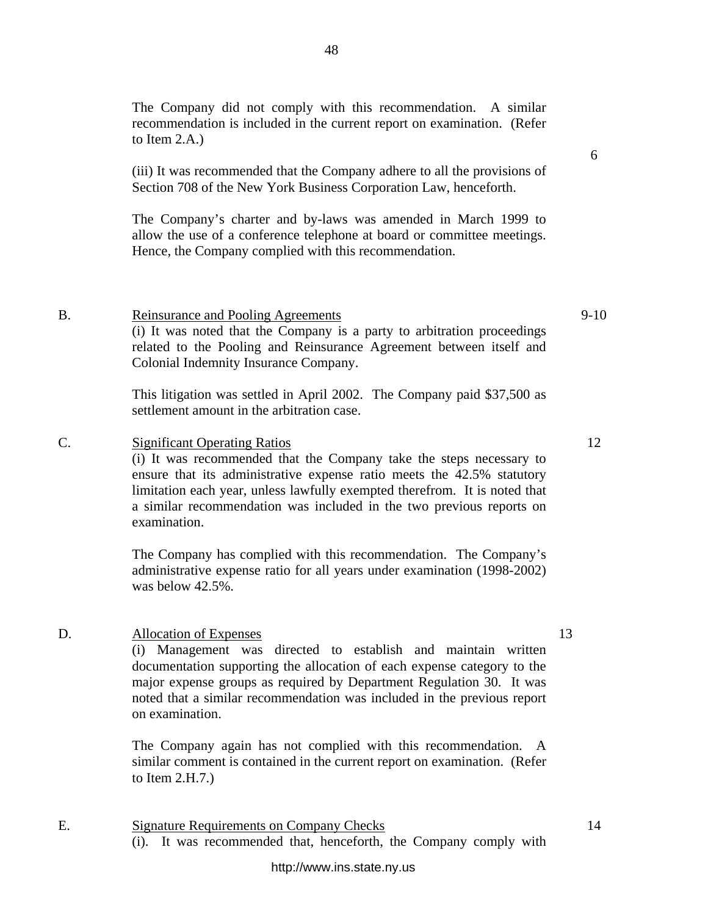http://www.ins.state.ny.us

The Company did not comply with this recommendation. A similar recommendation is included in the current report on examination. (Refer to Item 2.A.)

(iii) It was recommended that the Company adhere to all the provisions of Section 708 of the New York Business Corporation Law, henceforth.

The Company's charter and by-laws was amended in March 1999 to allow the use of a conference telephone at board or committee meetings. Hence, the Company complied with this recommendation.

B. Reinsurance and Pooling Agreements (i) It was noted that the Company is a party to arbitration proceedings related to the Pooling and Reinsurance Agreement between itself and Colonial Indemnity Insurance Company.

> This litigation was settled in April 2002. The Company paid \$37,500 as settlement amount in the arbitration case.

C. Significant Operating Ratios

(i) It was recommended that the Company take the steps necessary to ensure that its administrative expense ratio meets the 42.5% statutory limitation each year, unless lawfully exempted therefrom. It is noted that a similar recommendation was included in the two previous reports on examination.

The Company has complied with this recommendation. The Company's administrative expense ratio for all years under examination (1998-2002) was below 42.5%.

# D. Allocation of Expenses

(i) Management was directed to establish and maintain written documentation supporting the allocation of each expense category to the major expense groups as required by Department Regulation 30. It was noted that a similar recommendation was included in the previous report on examination.

The Company again has not complied with this recommendation. A similar comment is contained in the current report on examination. (Refer to Item 2.H.7.)

E. Signature Requirements on Company Checks (i). It was recommended that, henceforth, the Company comply with

# 9-10

6

13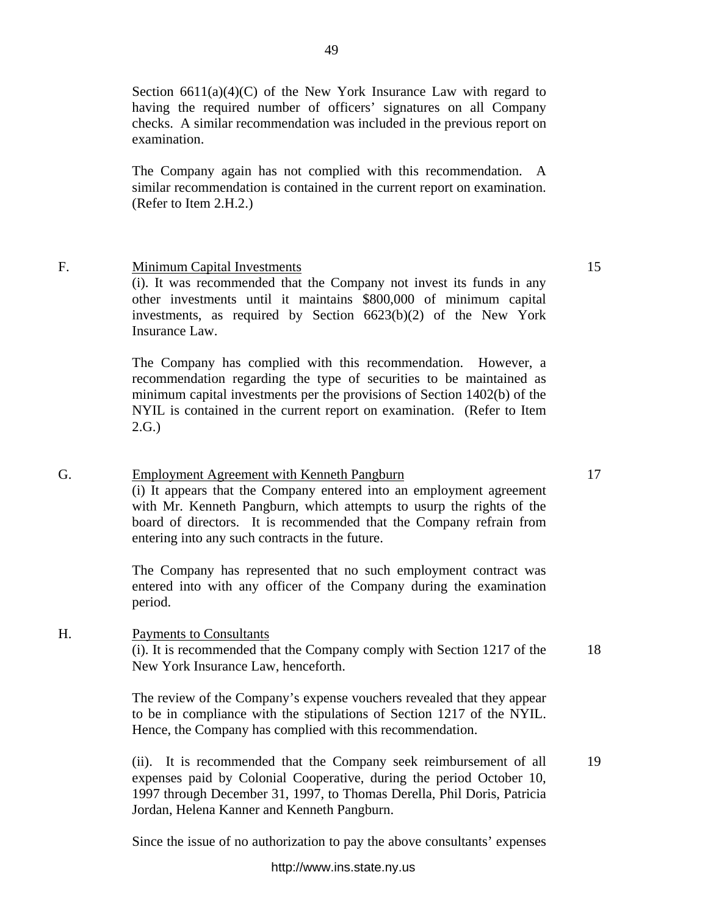Section  $6611(a)(4)(C)$  of the New York Insurance Law with regard to having the required number of officers' signatures on all Company checks. A similar recommendation was included in the previous report on examination.

The Company again has not complied with this recommendation. A similar recommendation is contained in the current report on examination. (Refer to Item 2.H.2.)

# F. Minimum Capital Investments

(i). It was recommended that the Company not invest its funds in any other investments until it maintains \$800,000 of minimum capital investments, as required by Section 6623(b)(2) of the New York Insurance Law.

The Company has complied with this recommendation. However, a recommendation regarding the type of securities to be maintained as minimum capital investments per the provisions of Section 1402(b) of the NYIL is contained in the current report on examination. (Refer to Item 2.G.)

# G. Employment Agreement with Kenneth Pangburn

(i) It appears that the Company entered into an employment agreement with Mr. Kenneth Pangburn, which attempts to usurp the rights of the board of directors. It is recommended that the Company refrain from entering into any such contracts in the future.

The Company has represented that no such employment contract was entered into with any officer of the Company during the examination period.

# H. Payments to Consultants

(i). It is recommended that the Company comply with Section 1217 of the New York Insurance Law, henceforth.

The review of the Company's expense vouchers revealed that they appear to be in compliance with the stipulations of Section 1217 of the NYIL. Hence, the Company has complied with this recommendation.

(ii). It is recommended that the Company seek reimbursement of all expenses paid by Colonial Cooperative, during the period October 10, 1997 through December 31, 1997, to Thomas Derella, Phil Doris, Patricia Jordan, Helena Kanner and Kenneth Pangburn. 19

Since the issue of no authorization to pay the above consultants' expenses

18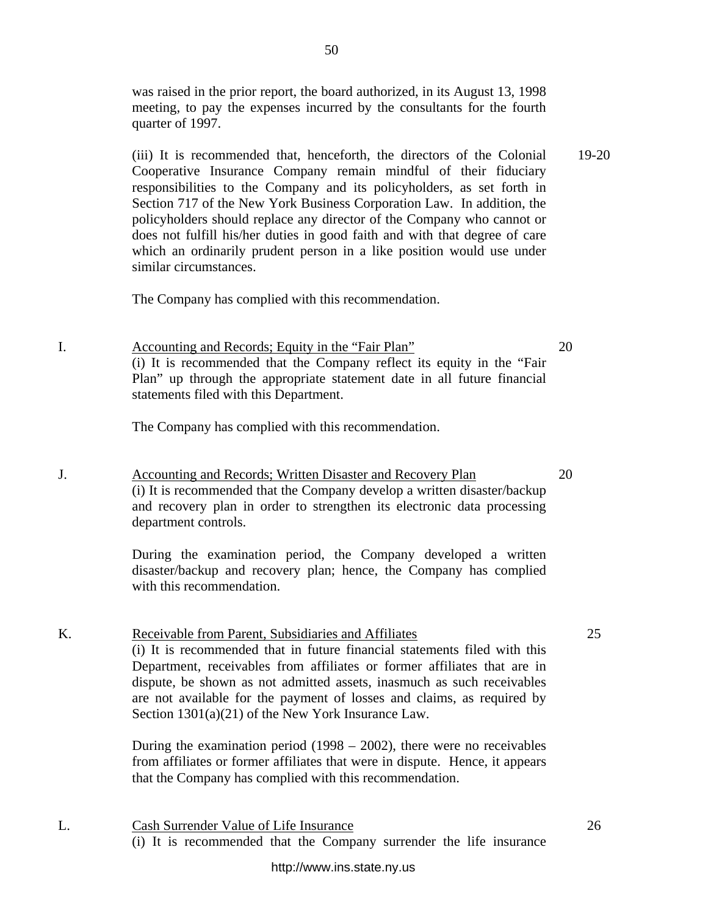was raised in the prior report, the board authorized, in its August 13, 1998 meeting, to pay the expenses incurred by the consultants for the fourth quarter of 1997.

(iii) It is recommended that, henceforth, the directors of the Colonial Cooperative Insurance Company remain mindful of their fiduciary responsibilities to the Company and its policyholders, as set forth in Section 717 of the New York Business Corporation Law. In addition, the policyholders should replace any director of the Company who cannot or does not fulfill his/her duties in good faith and with that degree of care which an ordinarily prudent person in a like position would use under similar circumstances. 19-20

The Company has complied with this recommendation.

I. Accounting and Records; Equity in the "Fair Plan" (i) It is recommended that the Company reflect its equity in the "Fair Plan" up through the appropriate statement date in all future financial statements filed with this Department.

The Company has complied with this recommendation.

J. Accounting and Records; Written Disaster and Recovery Plan (i) It is recommended that the Company develop a written disaster/backup and recovery plan in order to strengthen its electronic data processing department controls.

> During the examination period, the Company developed a written disaster/backup and recovery plan; hence, the Company has complied with this recommendation.

# K. Receivable from Parent, Subsidiaries and Affiliates (i) It is recommended that in future financial statements filed with this Department, receivables from affiliates or former affiliates that are in dispute, be shown as not admitted assets, inasmuch as such receivables are not available for the payment of losses and claims, as required by Section 1301(a)(21) of the New York Insurance Law.

During the examination period (1998 – 2002), there were no receivables from affiliates or former affiliates that were in dispute. Hence, it appears that the Company has complied with this recommendation.

L. Cash Surrender Value of Life Insurance (i) It is recommended that the Company surrender the life insurance 25

26

20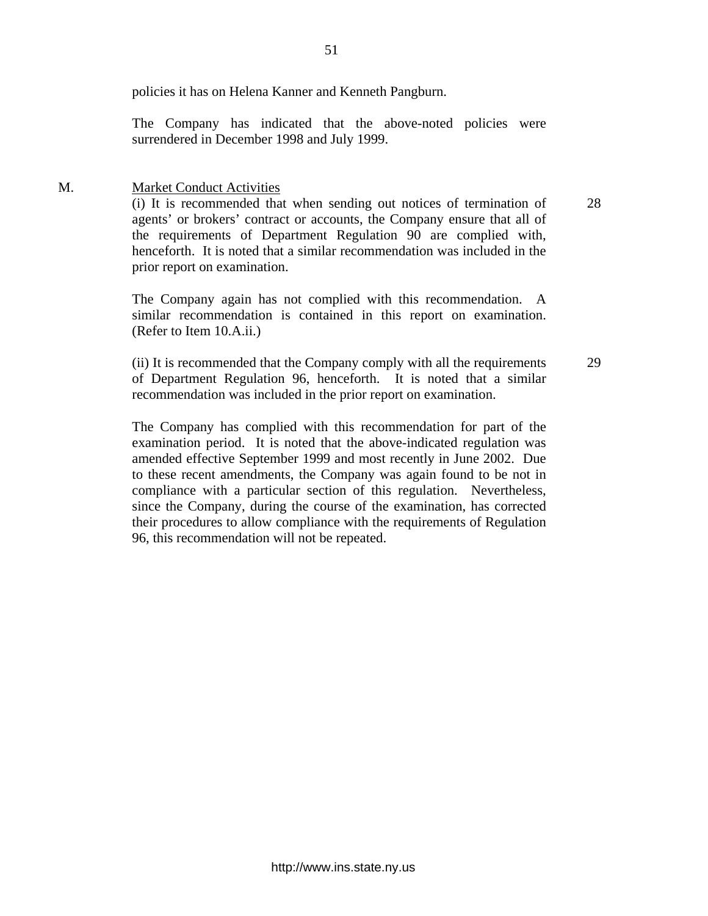policies it has on Helena Kanner and Kenneth Pangburn.

The Company has indicated that the above-noted policies were surrendered in December 1998 and July 1999.

# M. Market Conduct Activities

(i) It is recommended that when sending out notices of termination of agents' or brokers' contract or accounts, the Company ensure that all of the requirements of Department Regulation 90 are complied with, henceforth. It is noted that a similar recommendation was included in the prior report on examination.

The Company again has not complied with this recommendation. A similar recommendation is contained in this report on examination. (Refer to Item 10.A.ii.)

(ii) It is recommended that the Company comply with all the requirements of Department Regulation 96, henceforth. It is noted that a similar recommendation was included in the prior report on examination.

The Company has complied with this recommendation for part of the examination period. It is noted that the above-indicated regulation was amended effective September 1999 and most recently in June 2002. Due to these recent amendments, the Company was again found to be not in compliance with a particular section of this regulation. Nevertheless, since the Company, during the course of the examination, has corrected their procedures to allow compliance with the requirements of Regulation 96, this recommendation will not be repeated.

<http://www.ins.state.ny.us>

51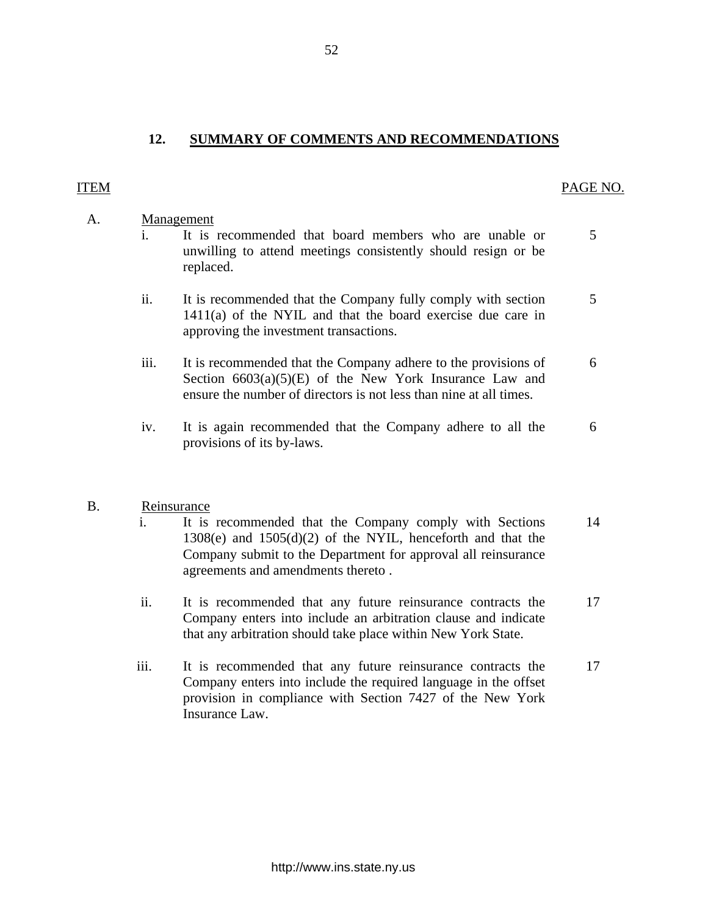# A. Management

**12. SUMMARY OF COMMENTS AND RECOMMENDATIONS** 

- i. It is recommended that board members who are unable or 5 unwilling to attend meetings consistently should resign or be replaced.
- ii. It is recommended that the Company fully comply with section 5 1411(a) of the NYIL and that the board exercise due care in approving the investment transactions.
- iii. It is recommended that the Company adhere to the provisions of 6 Section  $6603(a)(5)(E)$  of the New York Insurance Law and ensure the number of directors is not less than nine at all times.
- iv. It is again recommended that the Company adhere to all the 6 provisions of its by-laws.

# B. Reinsurance

- i. It is recommended that the Company comply with Sections 14 1308(e) and 1505(d)(2) of the NYIL, henceforth and that the Company submit to the Department for approval all reinsurance agreements and amendments thereto .
- ii. It is recommended that any future reinsurance contracts the 17 Company enters into include an arbitration clause and indicate that any arbitration should take place within New York State.
- iii. It is recommended that any future reinsurance contracts the 17 Company enters into include the required language in the offset provision in compliance with Section 7427 of the New York Insurance Law.

52

# <span id="page-53-0"></span>ITEM PAGE NO.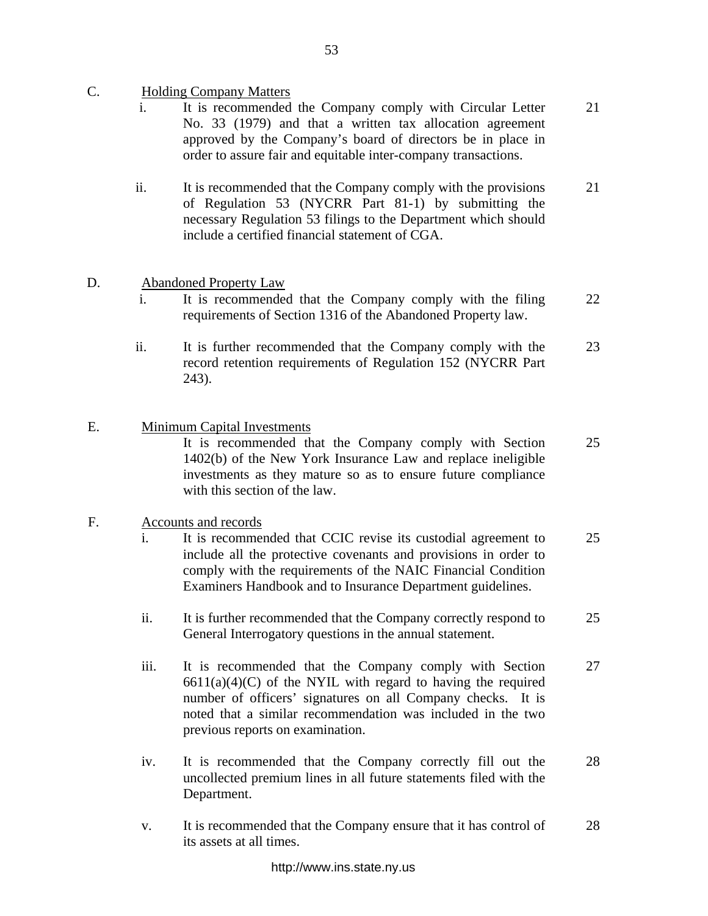- C. Holding Company Matters
	- i. It is recommended the Company comply with Circular Letter No. 33 (1979) and that a written tax allocation agreement approved by the Company's board of directors be in place in order to assure fair and equitable inter-company transactions. 21
	- ii. It is recommended that the Company comply with the provisions of Regulation 53 (NYCRR Part 81-1) by submitting the necessary Regulation 53 filings to the Department which should include a certified financial statement of CGA. 21
- D. Abandoned Property Law
	- i. It is recommended that the Company comply with the filing requirements of Section 1316 of the Abandoned Property law. 22
	- ii. It is further recommended that the Company comply with the record retention requirements of Regulation 152 (NYCRR Part 243). 23
- E. Minimum Capital Investments It is recommended that the Company comply with Section 1402(b) of the New York Insurance Law and replace ineligible investments as they mature so as to ensure future compliance with this section of the law. 25

# F. Accounts and records

- i. It is recommended that CCIC revise its custodial agreement to include all the protective covenants and provisions in order to comply with the requirements of the NAIC Financial Condition Examiners Handbook and to Insurance Department guidelines. 25
- ii. It is further recommended that the Company correctly respond to General Interrogatory questions in the annual statement. 25
- iii. It is recommended that the Company comply with Section  $6611(a)(4)(C)$  of the NYIL with regard to having the required number of officers' signatures on all Company checks. It is noted that a similar recommendation was included in the two previous reports on examination. 27
- iv. It is recommended that the Company correctly fill out the uncollected premium lines in all future statements filed with the Department. 28
- v. It is recommended that the Company ensure that it has control of its assets at all times. 28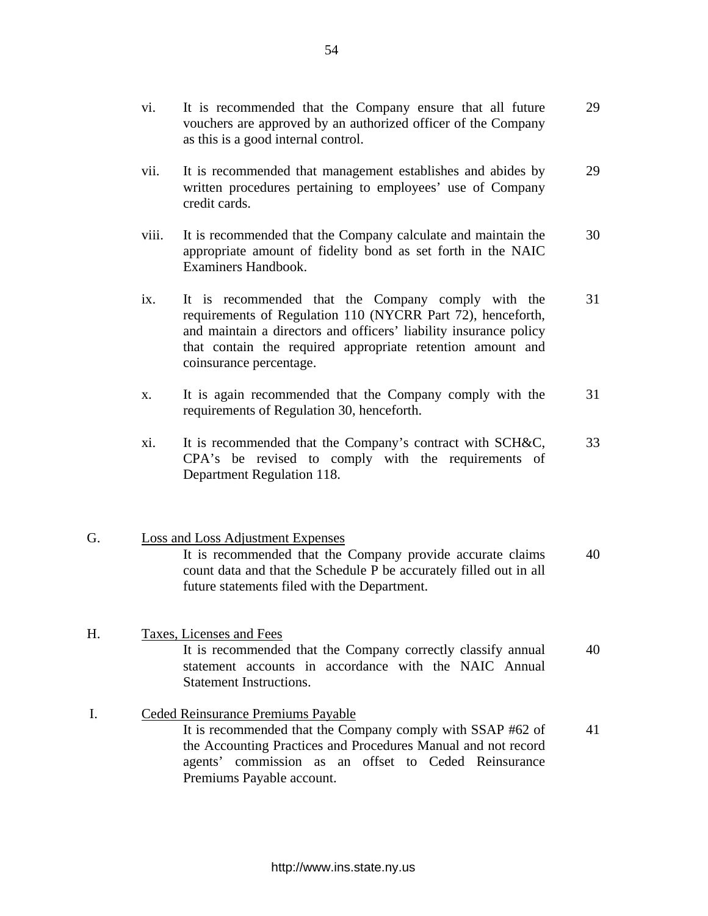- vi. It is recommended that the Company ensure that all future 29 vouchers are approved by an authorized officer of the Company as this is a good internal control.
- vii. It is recommended that management establishes and abides by 29 written procedures pertaining to employees' use of Company credit cards.
- viii. It is recommended that the Company calculate and maintain the 30 appropriate amount of fidelity bond as set forth in the NAIC Examiners Handbook.
- ix. It is recommended that the Company comply with the 31 requirements of Regulation 110 (NYCRR Part 72), henceforth, and maintain a directors and officers' liability insurance policy that contain the required appropriate retention amount and coinsurance percentage.
- x. It is again recommended that the Company comply with the 31 requirements of Regulation 30, henceforth.
- xi. It is recommended that the Company's contract with SCH&C, 33 CPA's be revised to comply with the requirements of Department Regulation 118.

# G. Loss and Loss Adjustment Expenses It is recommended that the Company provide accurate claims 40 count data and that the Schedule P be accurately filled out in all future statements filed with the Department.

# H. Taxes, Licenses and Fees It is recommended that the Company correctly classify annual 40 statement accounts in accordance with the NAIC Annual Statement Instructions.

I. Ceded Reinsurance Premiums Payable It is recommended that the Company comply with SSAP #62 of 41 the Accounting Practices and Procedures Manual and not record agents' commission as an offset to Ceded Reinsurance Premiums Payable account.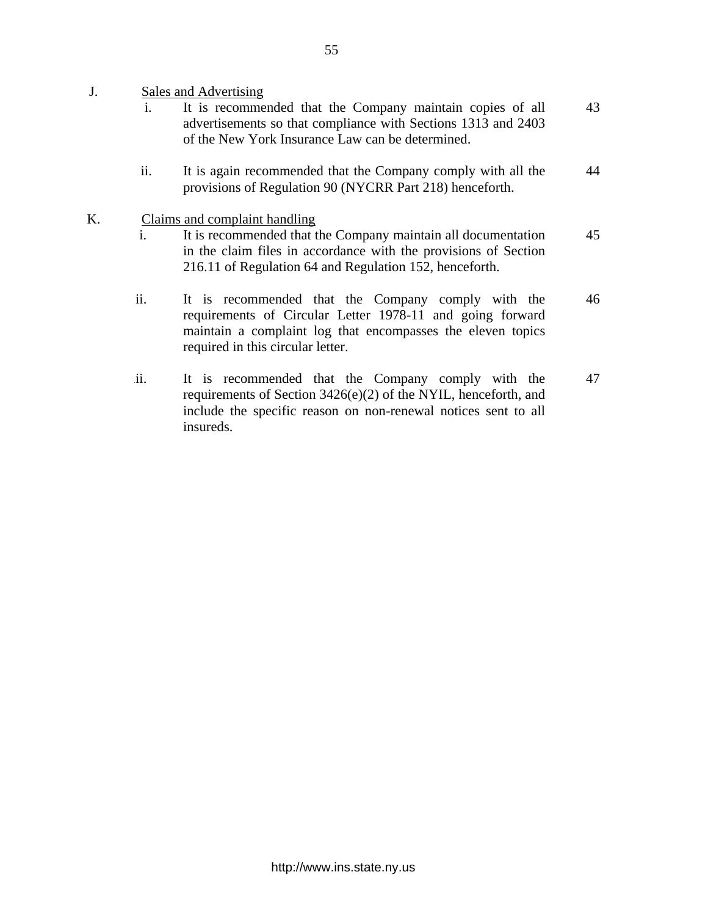- J. Sales and Advertising
	- i. It is recommended that the Company maintain copies of all advertisements so that compliance with Sections 1313 and 2403 of the New York Insurance Law can be determined. 43
	- ii. It is again recommended that the Company comply with all the provisions of Regulation 90 (NYCRR Part 218) henceforth. 44
- K. Claims and complaint handling
	- i. It is recommended that the Company maintain all documentation in the claim files in accordance with the provisions of Section 216.11 of Regulation 64 and Regulation 152, henceforth. 45
	- ii. It is recommended that the Company comply with the requirements of Circular Letter 1978-11 and going forward maintain a complaint log that encompasses the eleven topics required in this circular letter. 46
	- iii. It is recommended that the Company comply with the requirements of Section 3426(e)(2) of the NYIL, henceforth, and include the specific reason on non-renewal notices sent to all insureds. 47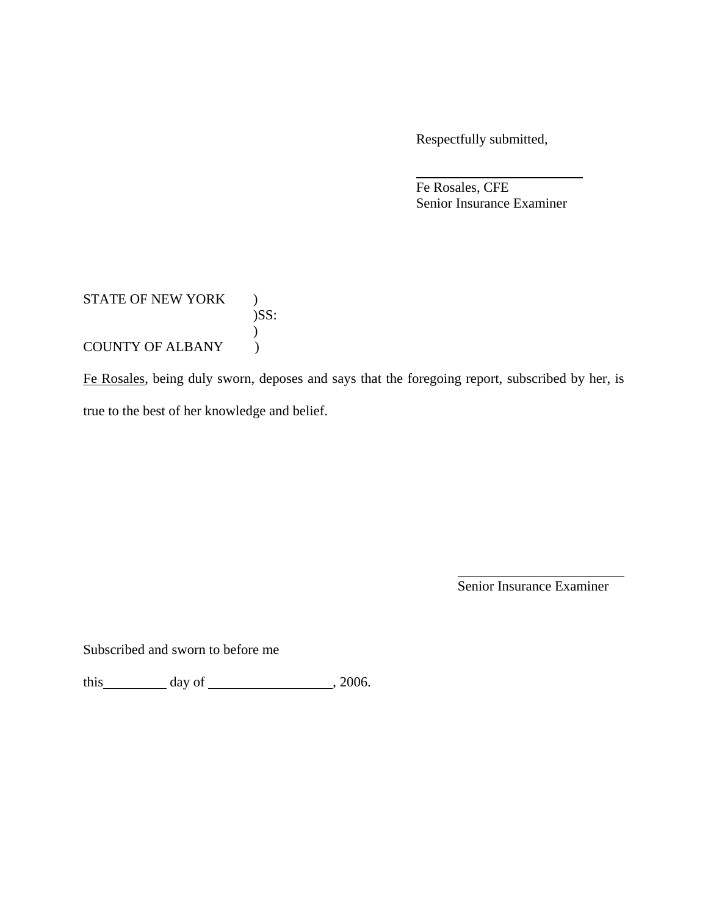Respectfully submitted,

 Fe Rosales, CFE Senior Insurance Examiner

# STATE OF NEW YORK )  $)$ SS:  $\big)$ COUNTY OF ALBANY (

Fe Rosales, being duly sworn, deposes and says that the foregoing report, subscribed by her, is true to the best of her knowledge and belief.

Senior Insurance Examiner

Subscribed and sworn to before me

this  $\qquad \qquad$  day of  $\qquad \qquad$  , 2006.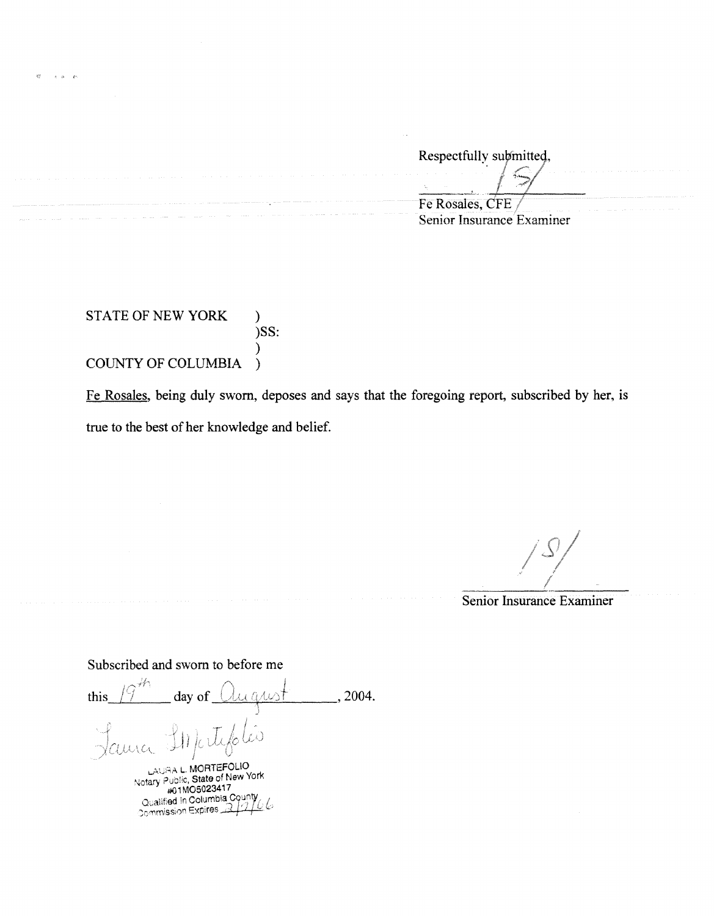Respectfully submitted,  $\frac{1}{\sqrt{2}}$ •. Fe Rosales, CFE Senior Insurance Examiner

STATE OF NEW YORK ) )SS: ) COUNTY OF COLUMBIA )

 $\kappa$  .  $\kappa$  . .

> Fe Rosales, being duly sworn, deposes and says that the foregoing report, subscribed by her, is true to the best of her knowledge and belief.

*I I* /2009 ? *l* 

Senior Insurance Examiner

Subscribed and sworn to before me

 $, 2004.$ this day of arwit j  $\mathbb{H}$ Jama lo LAURA L. MORTEFOLIO<br>Notary Public, State of New York #0 1M050234i 7 Qualified in Columbia Courty<br>Commission Expires 2/1/6 ~. *l:*<sup>0</sup>